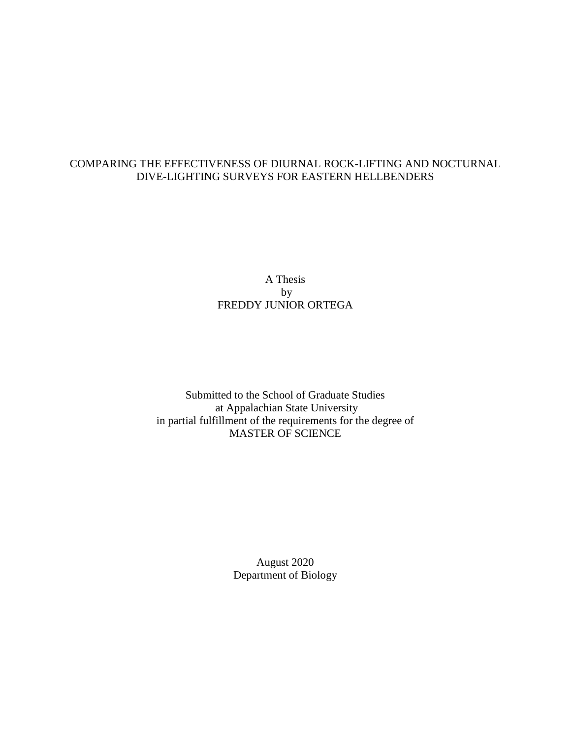## COMPARING THE EFFECTIVENESS OF DIURNAL ROCK-LIFTING AND NOCTURNAL DIVE-LIGHTING SURVEYS FOR EASTERN HELLBENDERS

## A Thesis by FREDDY JUNIOR ORTEGA

Submitted to the School of Graduate Studies at Appalachian State University in partial fulfillment of the requirements for the degree of MASTER OF SCIENCE

> August 2020 Department of Biology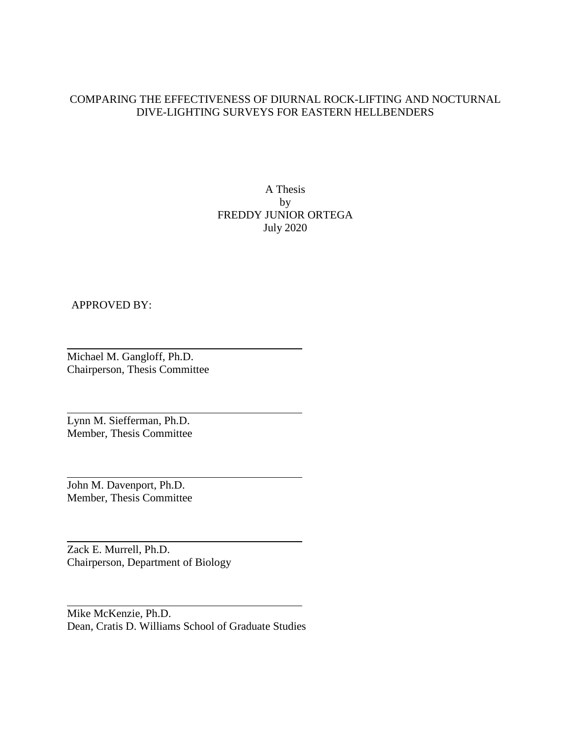## COMPARING THE EFFECTIVENESS OF DIURNAL ROCK-LIFTING AND NOCTURNAL DIVE-LIGHTING SURVEYS FOR EASTERN HELLBENDERS

A Thesis by FREDDY JUNIOR ORTEGA July 2020

### APPROVED BY:

Michael M. Gangloff, Ph.D. Chairperson, Thesis Committee

Lynn M. Siefferman, Ph.D. Member, Thesis Committee

John M. Davenport, Ph.D. Member, Thesis Committee

Zack E. Murrell, Ph.D. Chairperson, Department of Biology

Mike McKenzie, Ph.D. Dean, Cratis D. Williams School of Graduate Studies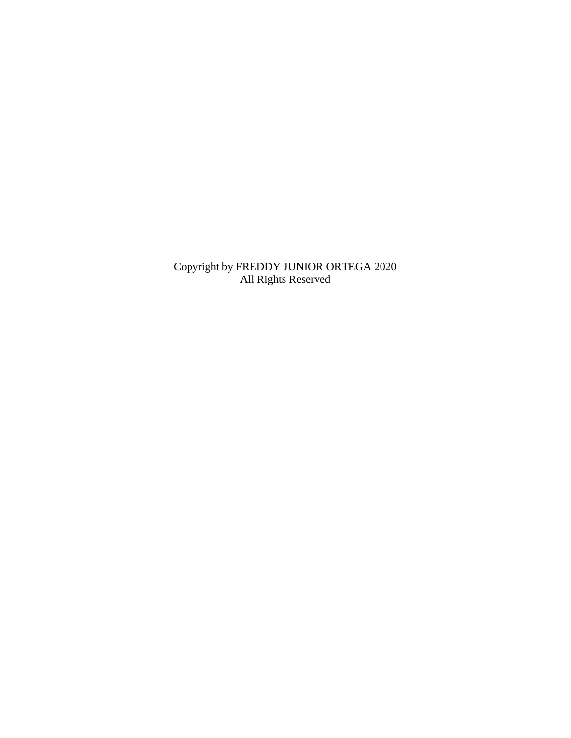Copyright by FREDDY JUNIOR ORTEGA 2020 All Rights Reserved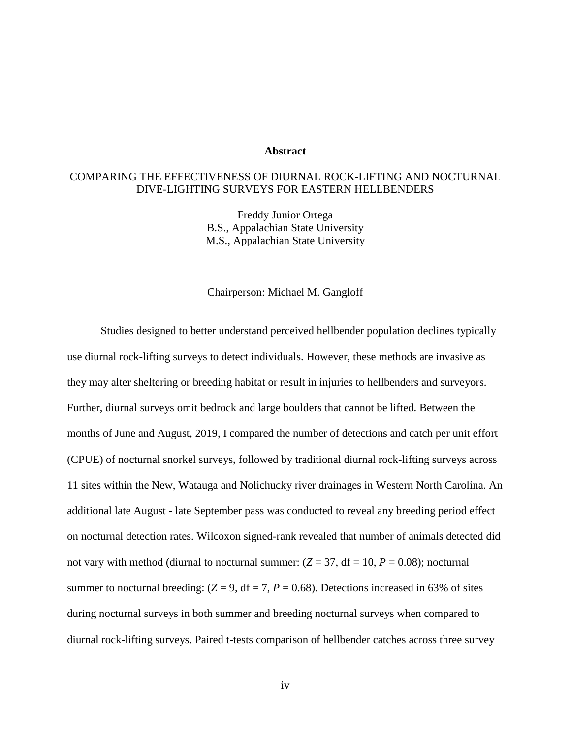#### **Abstract**

## COMPARING THE EFFECTIVENESS OF DIURNAL ROCK-LIFTING AND NOCTURNAL DIVE-LIGHTING SURVEYS FOR EASTERN HELLBENDERS

Freddy Junior Ortega B.S., Appalachian State University M.S., Appalachian State University

#### Chairperson: Michael M. Gangloff

Studies designed to better understand perceived hellbender population declines typically use diurnal rock-lifting surveys to detect individuals. However, these methods are invasive as they may alter sheltering or breeding habitat or result in injuries to hellbenders and surveyors. Further, diurnal surveys omit bedrock and large boulders that cannot be lifted. Between the months of June and August, 2019, I compared the number of detections and catch per unit effort (CPUE) of nocturnal snorkel surveys, followed by traditional diurnal rock-lifting surveys across 11 sites within the New, Watauga and Nolichucky river drainages in Western North Carolina. An additional late August - late September pass was conducted to reveal any breeding period effect on nocturnal detection rates. Wilcoxon signed-rank revealed that number of animals detected did not vary with method (diurnal to nocturnal summer:  $(Z = 37, df = 10, P = 0.08)$ ; nocturnal summer to nocturnal breeding:  $(Z = 9, df = 7, P = 0.68)$ . Detections increased in 63% of sites during nocturnal surveys in both summer and breeding nocturnal surveys when compared to diurnal rock-lifting surveys. Paired t-tests comparison of hellbender catches across three survey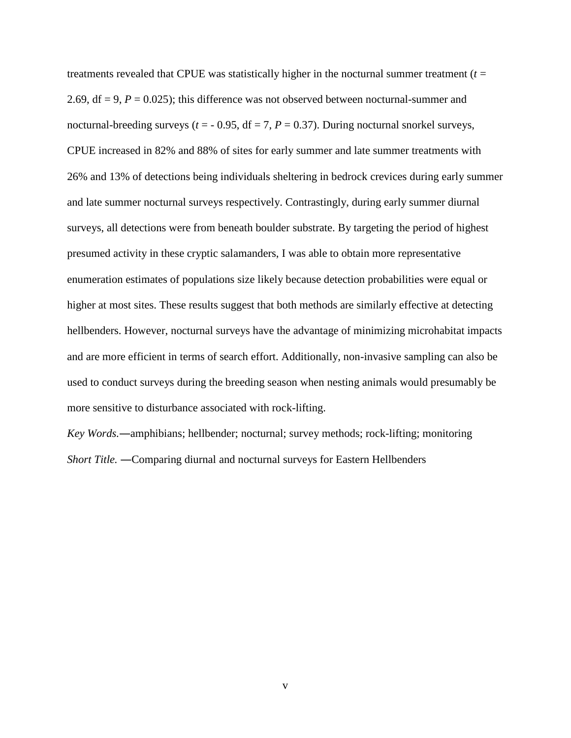treatments revealed that CPUE was statistically higher in the nocturnal summer treatment  $(t =$ 2.69,  $df = 9$ ,  $P = 0.025$ ; this difference was not observed between nocturnal-summer and nocturnal-breeding surveys ( $t = -0.95$ , df = 7,  $P = 0.37$ ). During nocturnal snorkel surveys, CPUE increased in 82% and 88% of sites for early summer and late summer treatments with 26% and 13% of detections being individuals sheltering in bedrock crevices during early summer and late summer nocturnal surveys respectively. Contrastingly, during early summer diurnal surveys, all detections were from beneath boulder substrate. By targeting the period of highest presumed activity in these cryptic salamanders, I was able to obtain more representative enumeration estimates of populations size likely because detection probabilities were equal or higher at most sites. These results suggest that both methods are similarly effective at detecting hellbenders. However, nocturnal surveys have the advantage of minimizing microhabitat impacts and are more efficient in terms of search effort. Additionally, non-invasive sampling can also be used to conduct surveys during the breeding season when nesting animals would presumably be more sensitive to disturbance associated with rock-lifting.

*Key Words.―*amphibians; hellbender; nocturnal; survey methods; rock-lifting; monitoring *Short Title. ―*Comparing diurnal and nocturnal surveys for Eastern Hellbenders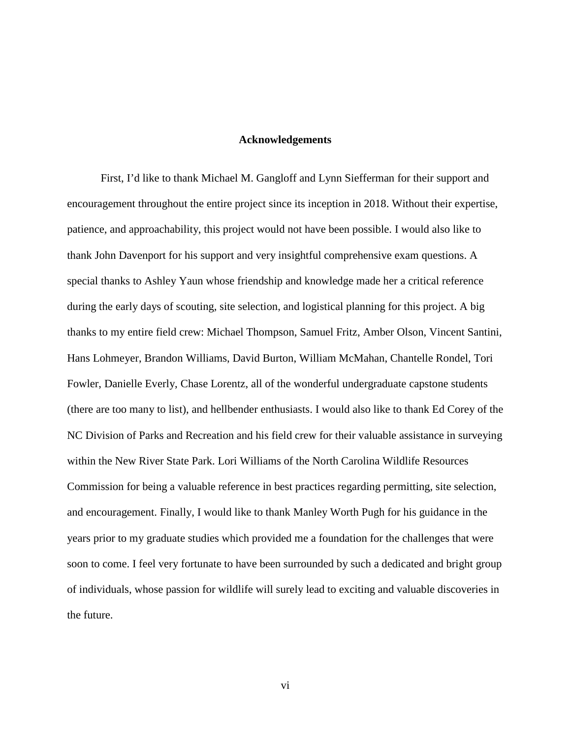#### **Acknowledgements**

First, I'd like to thank Michael M. Gangloff and Lynn Siefferman for their support and encouragement throughout the entire project since its inception in 2018. Without their expertise, patience, and approachability, this project would not have been possible. I would also like to thank John Davenport for his support and very insightful comprehensive exam questions. A special thanks to Ashley Yaun whose friendship and knowledge made her a critical reference during the early days of scouting, site selection, and logistical planning for this project. A big thanks to my entire field crew: Michael Thompson, Samuel Fritz, Amber Olson, Vincent Santini, Hans Lohmeyer, Brandon Williams, David Burton, William McMahan, Chantelle Rondel, Tori Fowler, Danielle Everly, Chase Lorentz, all of the wonderful undergraduate capstone students (there are too many to list), and hellbender enthusiasts. I would also like to thank Ed Corey of the NC Division of Parks and Recreation and his field crew for their valuable assistance in surveying within the New River State Park. Lori Williams of the North Carolina Wildlife Resources Commission for being a valuable reference in best practices regarding permitting, site selection, and encouragement. Finally, I would like to thank Manley Worth Pugh for his guidance in the years prior to my graduate studies which provided me a foundation for the challenges that were soon to come. I feel very fortunate to have been surrounded by such a dedicated and bright group of individuals, whose passion for wildlife will surely lead to exciting and valuable discoveries in the future.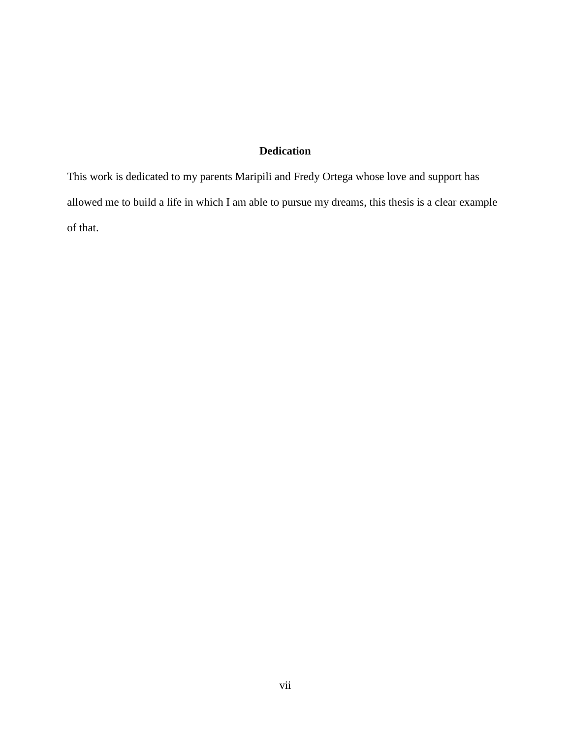# **Dedication**

This work is dedicated to my parents Maripili and Fredy Ortega whose love and support has allowed me to build a life in which I am able to pursue my dreams, this thesis is a clear example of that.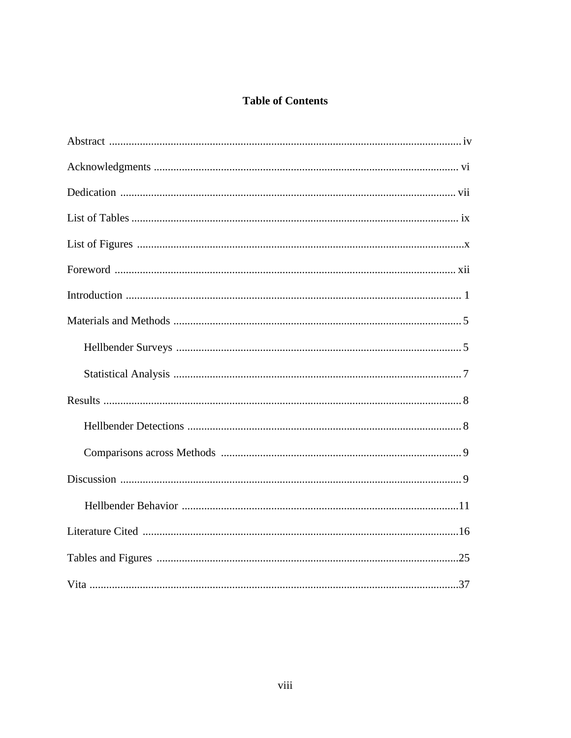## **Table of Contents**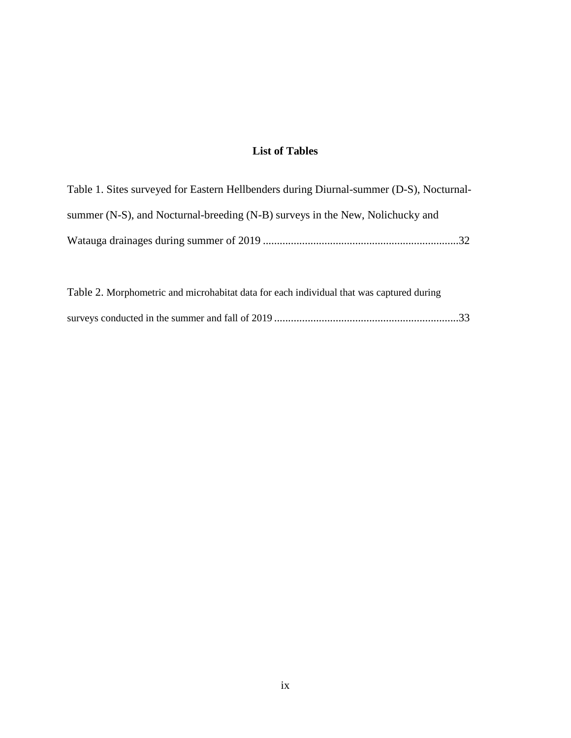# **List of Tables**

| Table 1. Sites surveyed for Eastern Hellbenders during Diurnal-summer (D-S), Nocturnal- |
|-----------------------------------------------------------------------------------------|
| summer (N-S), and Nocturnal-breeding (N-B) surveys in the New, Nolichucky and           |
|                                                                                         |

| Table 2. Morphometric and microhabitat data for each individual that was captured during |  |
|------------------------------------------------------------------------------------------|--|
|                                                                                          |  |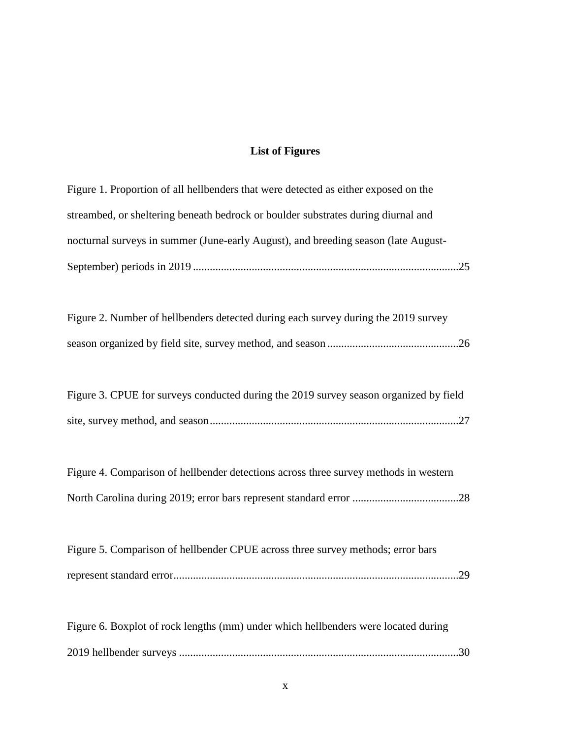# **List of Figures**

| Figure 1. Proportion of all hellbenders that were detected as either exposed on the   |
|---------------------------------------------------------------------------------------|
| streambed, or sheltering beneath bedrock or boulder substrates during diurnal and     |
| nocturnal surveys in summer (June-early August), and breeding season (late August-    |
|                                                                                       |
|                                                                                       |
| Figure 2. Number of hellbenders detected during each survey during the 2019 survey    |
|                                                                                       |
|                                                                                       |
| Figure 3. CPUE for surveys conducted during the 2019 survey season organized by field |
|                                                                                       |
|                                                                                       |
| Figure 4. Comparison of hellbender detections across three survey methods in western  |
|                                                                                       |
|                                                                                       |
| Figure 5. Comparison of hellbender CPUE across three survey methods; error bars       |
|                                                                                       |
|                                                                                       |
| Figure 6. Boxplot of rock lengths (mm) under which hellbenders were located during    |
|                                                                                       |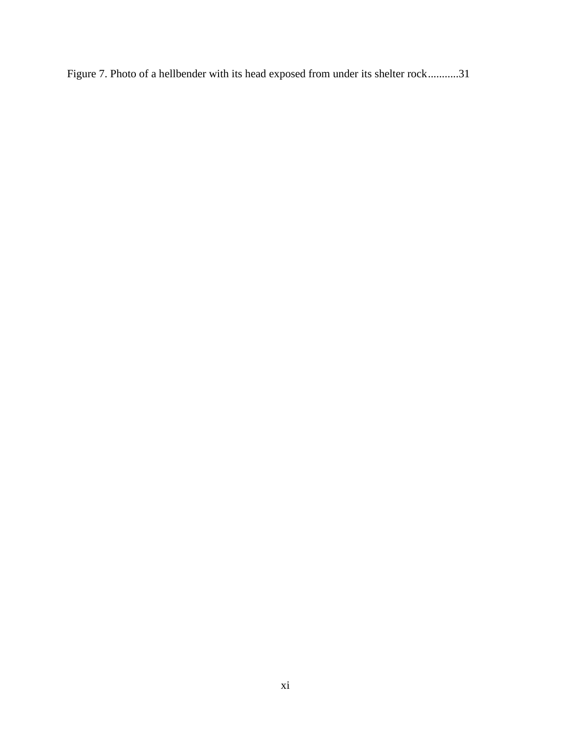Figure 7. Photo of a hellbender with its head exposed from under its shelter rock...........31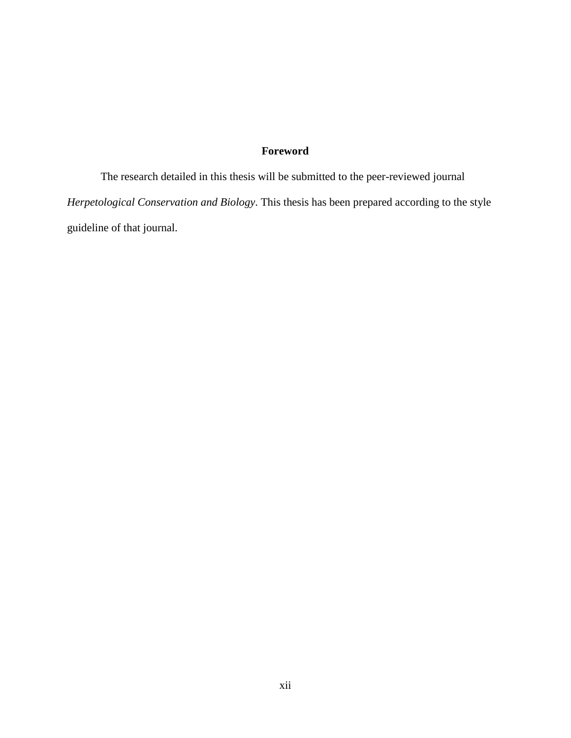# **Foreword**

The research detailed in this thesis will be submitted to the peer-reviewed journal *Herpetological Conservation and Biology*. This thesis has been prepared according to the style guideline of that journal.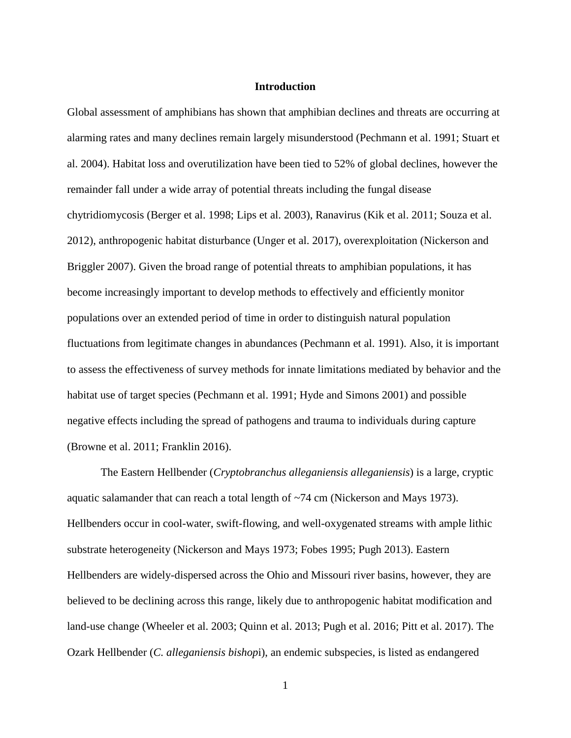#### **Introduction**

Global assessment of amphibians has shown that amphibian declines and threats are occurring at alarming rates and many declines remain largely misunderstood (Pechmann et al. 1991; Stuart et al. 2004). Habitat loss and overutilization have been tied to 52% of global declines, however the remainder fall under a wide array of potential threats including the fungal disease chytridiomycosis (Berger et al. 1998; Lips et al. 2003), Ranavirus (Kik et al. 2011; Souza et al. 2012), anthropogenic habitat disturbance (Unger et al. 2017), overexploitation (Nickerson and Briggler 2007). Given the broad range of potential threats to amphibian populations, it has become increasingly important to develop methods to effectively and efficiently monitor populations over an extended period of time in order to distinguish natural population fluctuations from legitimate changes in abundances (Pechmann et al. 1991). Also, it is important to assess the effectiveness of survey methods for innate limitations mediated by behavior and the habitat use of target species (Pechmann et al. 1991; Hyde and Simons 2001) and possible negative effects including the spread of pathogens and trauma to individuals during capture (Browne et al. 2011; Franklin 2016).

The Eastern Hellbender (*Cryptobranchus alleganiensis alleganiensis*) is a large, cryptic aquatic salamander that can reach a total length of ~74 cm (Nickerson and Mays 1973). Hellbenders occur in cool-water, swift-flowing, and well-oxygenated streams with ample lithic substrate heterogeneity (Nickerson and Mays 1973; Fobes 1995; Pugh 2013). Eastern Hellbenders are widely-dispersed across the Ohio and Missouri river basins, however, they are believed to be declining across this range, likely due to anthropogenic habitat modification and land-use change (Wheeler et al. 2003; Quinn et al. 2013; Pugh et al. 2016; Pitt et al. 2017). The Ozark Hellbender (*C. alleganiensis bishop*i), an endemic subspecies, is listed as endangered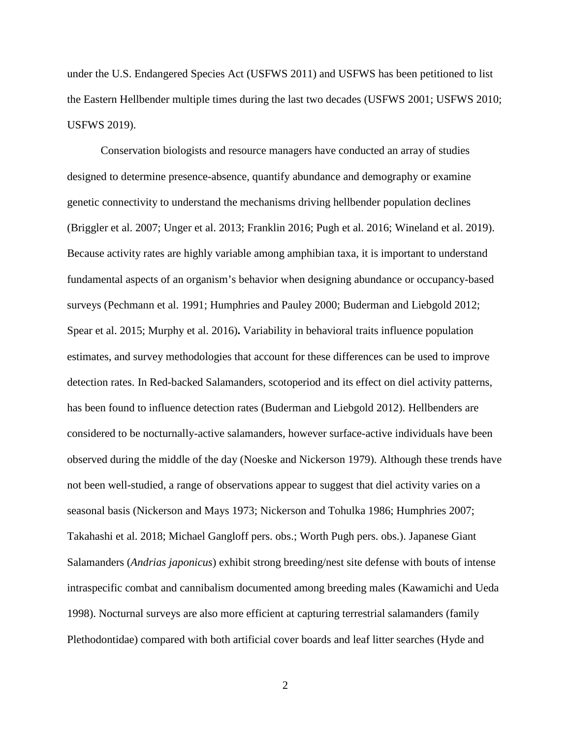under the U.S. Endangered Species Act (USFWS 2011) and USFWS has been petitioned to list the Eastern Hellbender multiple times during the last two decades (USFWS 2001; USFWS 2010; USFWS 2019).

Conservation biologists and resource managers have conducted an array of studies designed to determine presence-absence, quantify abundance and demography or examine genetic connectivity to understand the mechanisms driving hellbender population declines (Briggler et al. 2007; Unger et al. 2013; Franklin 2016; Pugh et al. 2016; Wineland et al. 2019). Because activity rates are highly variable among amphibian taxa, it is important to understand fundamental aspects of an organism's behavior when designing abundance or occupancy-based surveys (Pechmann et al. 1991; Humphries and Pauley 2000; Buderman and Liebgold 2012; Spear et al. 2015; Murphy et al. 2016)**.** Variability in behavioral traits influence population estimates, and survey methodologies that account for these differences can be used to improve detection rates. In Red-backed Salamanders, scotoperiod and its effect on diel activity patterns, has been found to influence detection rates (Buderman and Liebgold 2012). Hellbenders are considered to be nocturnally-active salamanders, however surface-active individuals have been observed during the middle of the day (Noeske and Nickerson 1979). Although these trends have not been well-studied, a range of observations appear to suggest that diel activity varies on a seasonal basis (Nickerson and Mays 1973; Nickerson and Tohulka 1986; Humphries 2007; Takahashi et al. 2018; Michael Gangloff pers. obs.; Worth Pugh pers. obs.). Japanese Giant Salamanders (*Andrias japonicus*) exhibit strong breeding/nest site defense with bouts of intense intraspecific combat and cannibalism documented among breeding males (Kawamichi and Ueda 1998). Nocturnal surveys are also more efficient at capturing terrestrial salamanders (family Plethodontidae) compared with both artificial cover boards and leaf litter searches (Hyde and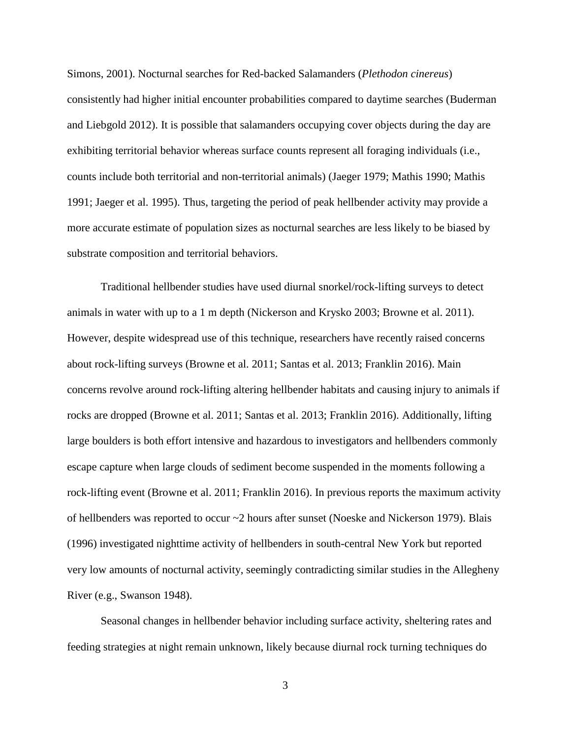Simons, 2001). Nocturnal searches for Red-backed Salamanders (*Plethodon cinereus*) consistently had higher initial encounter probabilities compared to daytime searches (Buderman and Liebgold 2012). It is possible that salamanders occupying cover objects during the day are exhibiting territorial behavior whereas surface counts represent all foraging individuals (i.e., counts include both territorial and non-territorial animals) (Jaeger 1979; Mathis 1990; Mathis 1991; Jaeger et al. 1995). Thus, targeting the period of peak hellbender activity may provide a more accurate estimate of population sizes as nocturnal searches are less likely to be biased by substrate composition and territorial behaviors.

Traditional hellbender studies have used diurnal snorkel/rock-lifting surveys to detect animals in water with up to a 1 m depth (Nickerson and Krysko 2003; Browne et al. 2011). However, despite widespread use of this technique, researchers have recently raised concerns about rock-lifting surveys (Browne et al. 2011; Santas et al. 2013; Franklin 2016). Main concerns revolve around rock-lifting altering hellbender habitats and causing injury to animals if rocks are dropped (Browne et al. 2011; Santas et al. 2013; Franklin 2016). Additionally, lifting large boulders is both effort intensive and hazardous to investigators and hellbenders commonly escape capture when large clouds of sediment become suspended in the moments following a rock-lifting event (Browne et al. 2011; Franklin 2016). In previous reports the maximum activity of hellbenders was reported to occur ~2 hours after sunset (Noeske and Nickerson 1979). Blais (1996) investigated nighttime activity of hellbenders in south-central New York but reported very low amounts of nocturnal activity, seemingly contradicting similar studies in the Allegheny River (e.g., Swanson 1948).

Seasonal changes in hellbender behavior including surface activity, sheltering rates and feeding strategies at night remain unknown, likely because diurnal rock turning techniques do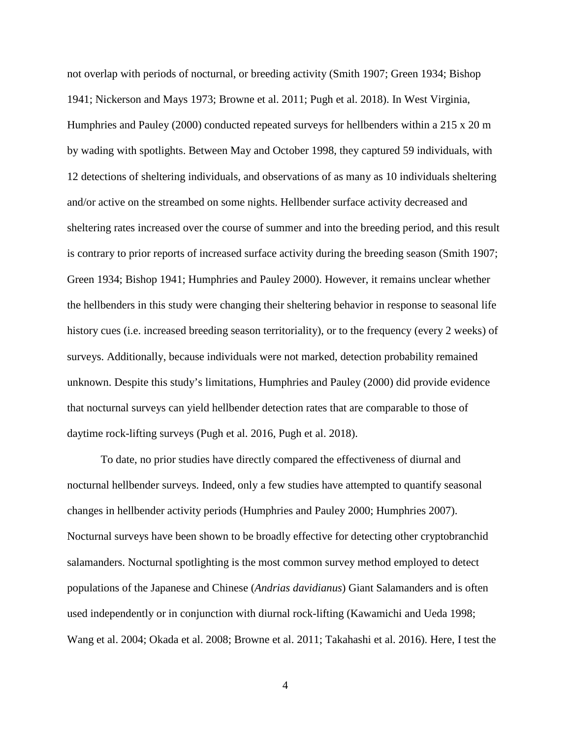not overlap with periods of nocturnal, or breeding activity (Smith 1907; Green 1934; Bishop 1941; Nickerson and Mays 1973; Browne et al. 2011; Pugh et al. 2018). In West Virginia, Humphries and Pauley (2000) conducted repeated surveys for hellbenders within a 215 x 20 m by wading with spotlights. Between May and October 1998, they captured 59 individuals, with 12 detections of sheltering individuals, and observations of as many as 10 individuals sheltering and/or active on the streambed on some nights. Hellbender surface activity decreased and sheltering rates increased over the course of summer and into the breeding period, and this result is contrary to prior reports of increased surface activity during the breeding season (Smith 1907; Green 1934; Bishop 1941; Humphries and Pauley 2000). However, it remains unclear whether the hellbenders in this study were changing their sheltering behavior in response to seasonal life history cues (i.e. increased breeding season territoriality), or to the frequency (every 2 weeks) of surveys. Additionally, because individuals were not marked, detection probability remained unknown. Despite this study's limitations, Humphries and Pauley (2000) did provide evidence that nocturnal surveys can yield hellbender detection rates that are comparable to those of daytime rock-lifting surveys (Pugh et al. 2016, Pugh et al. 2018).

To date, no prior studies have directly compared the effectiveness of diurnal and nocturnal hellbender surveys. Indeed, only a few studies have attempted to quantify seasonal changes in hellbender activity periods (Humphries and Pauley 2000; Humphries 2007). Nocturnal surveys have been shown to be broadly effective for detecting other cryptobranchid salamanders. Nocturnal spotlighting is the most common survey method employed to detect populations of the Japanese and Chinese (*Andrias davidianus*) Giant Salamanders and is often used independently or in conjunction with diurnal rock-lifting (Kawamichi and Ueda 1998; Wang et al. 2004; Okada et al. 2008; Browne et al. 2011; Takahashi et al. 2016). Here, I test the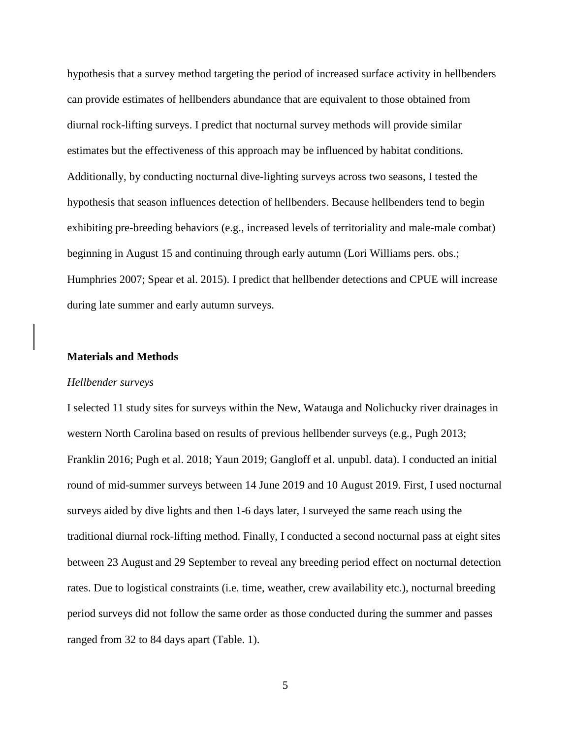hypothesis that a survey method targeting the period of increased surface activity in hellbenders can provide estimates of hellbenders abundance that are equivalent to those obtained from diurnal rock-lifting surveys. I predict that nocturnal survey methods will provide similar estimates but the effectiveness of this approach may be influenced by habitat conditions. Additionally, by conducting nocturnal dive-lighting surveys across two seasons, I tested the hypothesis that season influences detection of hellbenders. Because hellbenders tend to begin exhibiting pre-breeding behaviors (e.g., increased levels of territoriality and male-male combat) beginning in August 15 and continuing through early autumn (Lori Williams pers. obs.; Humphries 2007; Spear et al. 2015). I predict that hellbender detections and CPUE will increase during late summer and early autumn surveys.

#### **Materials and Methods**

#### *Hellbender surveys*

I selected 11 study sites for surveys within the New, Watauga and Nolichucky river drainages in western North Carolina based on results of previous hellbender surveys (e.g., Pugh 2013; Franklin 2016; Pugh et al. 2018; Yaun 2019; Gangloff et al. unpubl. data). I conducted an initial round of mid-summer surveys between 14 June 2019 and 10 August 2019. First, I used nocturnal surveys aided by dive lights and then 1-6 days later, I surveyed the same reach using the traditional diurnal rock-lifting method. Finally, I conducted a second nocturnal pass at eight sites between 23 August and 29 September to reveal any breeding period effect on nocturnal detection rates. Due to logistical constraints (i.e. time, weather, crew availability etc.), nocturnal breeding period surveys did not follow the same order as those conducted during the summer and passes ranged from 32 to 84 days apart (Table. 1).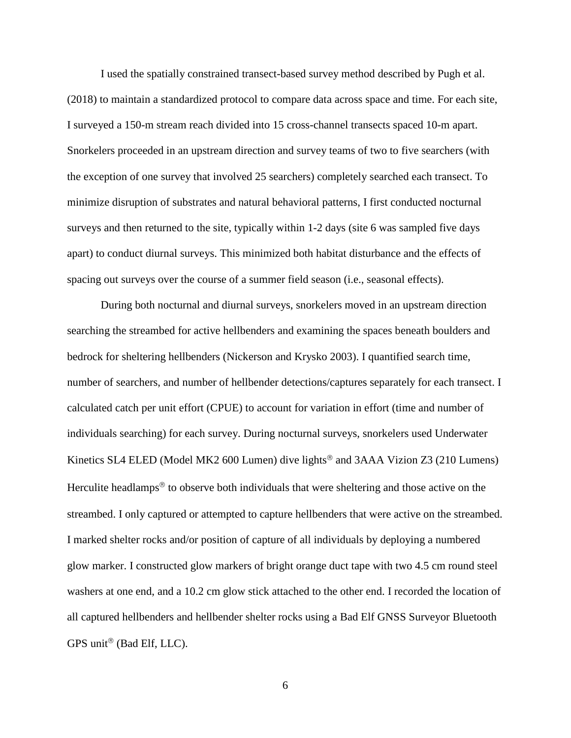I used the spatially constrained transect-based survey method described by Pugh et al. (2018) to maintain a standardized protocol to compare data across space and time. For each site, I surveyed a 150-m stream reach divided into 15 cross-channel transects spaced 10-m apart. Snorkelers proceeded in an upstream direction and survey teams of two to five searchers (with the exception of one survey that involved 25 searchers) completely searched each transect. To minimize disruption of substrates and natural behavioral patterns, I first conducted nocturnal surveys and then returned to the site, typically within 1-2 days (site 6 was sampled five days apart) to conduct diurnal surveys. This minimized both habitat disturbance and the effects of spacing out surveys over the course of a summer field season (i.e., seasonal effects).

During both nocturnal and diurnal surveys, snorkelers moved in an upstream direction searching the streambed for active hellbenders and examining the spaces beneath boulders and bedrock for sheltering hellbenders (Nickerson and Krysko 2003). I quantified search time, number of searchers, and number of hellbender detections/captures separately for each transect. I calculated catch per unit effort (CPUE) to account for variation in effort (time and number of individuals searching) for each survey. During nocturnal surveys, snorkelers used Underwater Kinetics SL4 ELED (Model MK2 600 Lumen) dive lights<sup>®</sup> and 3AAA Vizion Z3 (210 Lumens) Herculite headlamps<sup> $\circledast$ </sup> to observe both individuals that were sheltering and those active on the streambed. I only captured or attempted to capture hellbenders that were active on the streambed. I marked shelter rocks and/or position of capture of all individuals by deploying a numbered glow marker. I constructed glow markers of bright orange duct tape with two 4.5 cm round steel washers at one end, and a 10.2 cm glow stick attached to the other end. I recorded the location of all captured hellbenders and hellbender shelter rocks using a Bad Elf GNSS Surveyor Bluetooth GPS unit<sup>®</sup> (Bad Elf, LLC).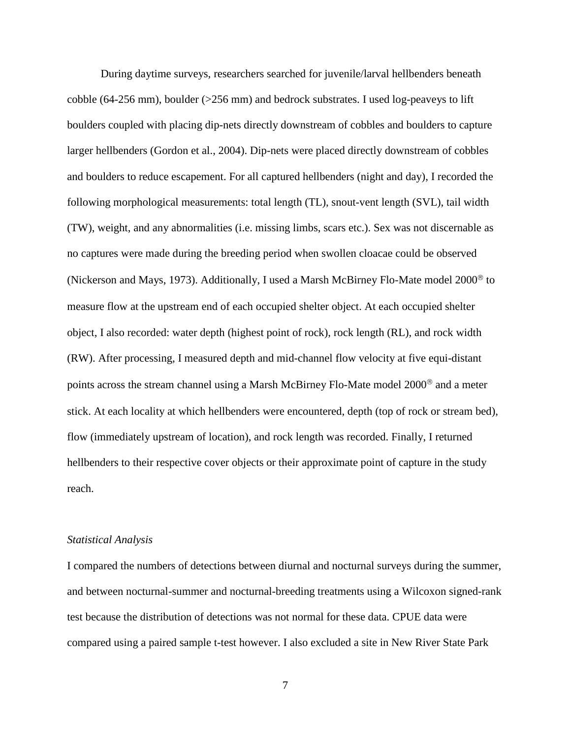During daytime surveys, researchers searched for juvenile/larval hellbenders beneath cobble (64-256 mm), boulder (>256 mm) and bedrock substrates. I used log-peaveys to lift boulders coupled with placing dip-nets directly downstream of cobbles and boulders to capture larger hellbenders (Gordon et al., 2004). Dip-nets were placed directly downstream of cobbles and boulders to reduce escapement. For all captured hellbenders (night and day), I recorded the following morphological measurements: total length (TL), snout-vent length (SVL), tail width (TW), weight, and any abnormalities (i.e. missing limbs, scars etc.). Sex was not discernable as no captures were made during the breeding period when swollen cloacae could be observed (Nickerson and Mays, 1973). Additionally, I used a Marsh McBirney Flo-Mate model 2000<sup>®</sup> to measure flow at the upstream end of each occupied shelter object. At each occupied shelter object, I also recorded: water depth (highest point of rock), rock length (RL), and rock width (RW). After processing, I measured depth and mid-channel flow velocity at five equi-distant points across the stream channel using a Marsh McBirney Flo-Mate model 2000<sup>®</sup> and a meter stick. At each locality at which hellbenders were encountered, depth (top of rock or stream bed), flow (immediately upstream of location), and rock length was recorded. Finally, I returned hellbenders to their respective cover objects or their approximate point of capture in the study reach.

#### *Statistical Analysis*

I compared the numbers of detections between diurnal and nocturnal surveys during the summer, and between nocturnal-summer and nocturnal-breeding treatments using a Wilcoxon signed-rank test because the distribution of detections was not normal for these data. CPUE data were compared using a paired sample t-test however. I also excluded a site in New River State Park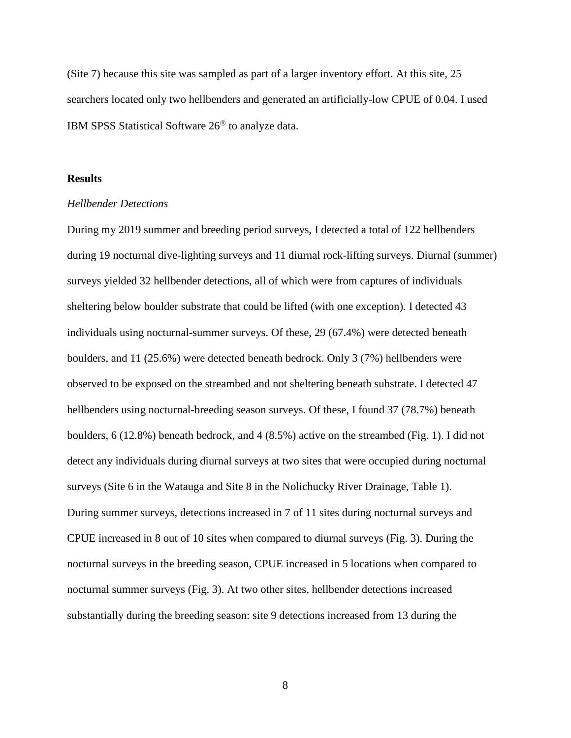(Site 7) because this site was sampled as part of a larger inventory effort. At this site, 25 searchers located only two hellbenders and generated an artificially-low CPUE of 0.04. I used IBM SPSS Statistical Software  $26^{\circ}$  to analyze data.

#### **Results**

#### *Hellbender Detections*

During my 2019 summer and breeding period surveys, I detected a total of 122 hellbenders during 19 nocturnal dive-lighting surveys and 11 diurnal rock-lifting surveys. Diurnal (summer) surveys yielded 32 hellbender detections, all of which were from captures of individuals sheltering below boulder substrate that could be lifted (with one exception). I detected 43 individuals using nocturnal-summer surveys. Of these, 29 (67.4%) were detected beneath boulders, and 11 (25.6%) were detected beneath bedrock. Only 3 (7%) hellbenders were observed to be exposed on the streambed and not sheltering beneath substrate. I detected 47 hellbenders using nocturnal-breeding season surveys. Of these, I found 37 (78.7%) beneath boulders, 6 (12.8%) beneath bedrock, and 4 (8.5%) active on the streambed (Fig. 1). I did not detect any individuals during diurnal surveys at two sites that were occupied during nocturnal surveys (Site 6 in the Watauga and Site 8 in the Nolichucky River Drainage, Table 1). During summer surveys, detections increased in 7 of 11 sites during nocturnal surveys and CPUE increased in 8 out of 10 sites when compared to diurnal surveys (Fig. 3). During the nocturnal surveys in the breeding season, CPUE increased in 5 locations when compared to nocturnal summer surveys (Fig. 3). At two other sites, hellbender detections increased substantially during the breeding season: site 9 detections increased from 13 during the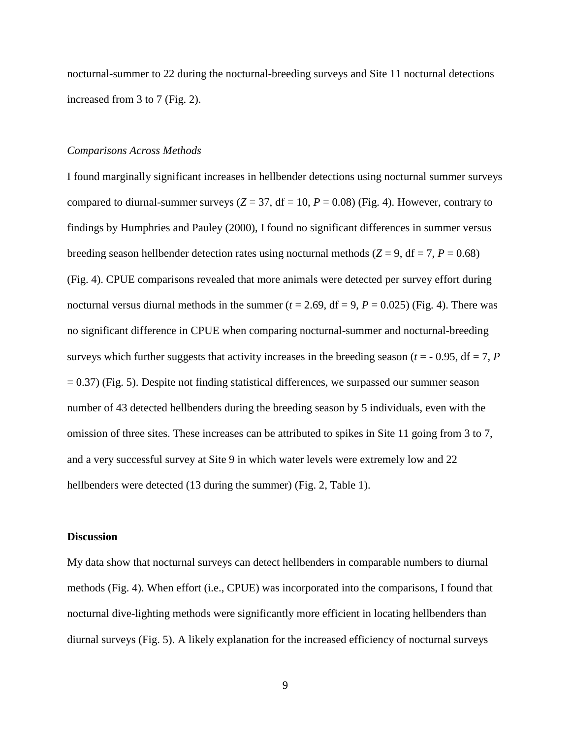nocturnal-summer to 22 during the nocturnal-breeding surveys and Site 11 nocturnal detections increased from 3 to 7 (Fig. 2).

#### *Comparisons Across Methods*

I found marginally significant increases in hellbender detections using nocturnal summer surveys compared to diurnal-summer surveys  $(Z = 37, df = 10, P = 0.08)$  (Fig. 4). However, contrary to findings by Humphries and Pauley (2000), I found no significant differences in summer versus breeding season hellbender detection rates using nocturnal methods ( $Z = 9$ , df = 7,  $P = 0.68$ ) (Fig. 4). CPUE comparisons revealed that more animals were detected per survey effort during nocturnal versus diurnal methods in the summer  $(t = 2.69, df = 9, P = 0.025)$  (Fig. 4). There was no significant difference in CPUE when comparing nocturnal-summer and nocturnal-breeding surveys which further suggests that activity increases in the breeding season ( $t = -0.95$ , df = 7, *P*  $= 0.37$ ) (Fig. 5). Despite not finding statistical differences, we surpassed our summer season number of 43 detected hellbenders during the breeding season by 5 individuals, even with the omission of three sites. These increases can be attributed to spikes in Site 11 going from 3 to 7, and a very successful survey at Site 9 in which water levels were extremely low and 22 hellbenders were detected (13 during the summer) (Fig. 2, Table 1).

#### **Discussion**

My data show that nocturnal surveys can detect hellbenders in comparable numbers to diurnal methods (Fig. 4). When effort (i.e., CPUE) was incorporated into the comparisons, I found that nocturnal dive-lighting methods were significantly more efficient in locating hellbenders than diurnal surveys (Fig. 5). A likely explanation for the increased efficiency of nocturnal surveys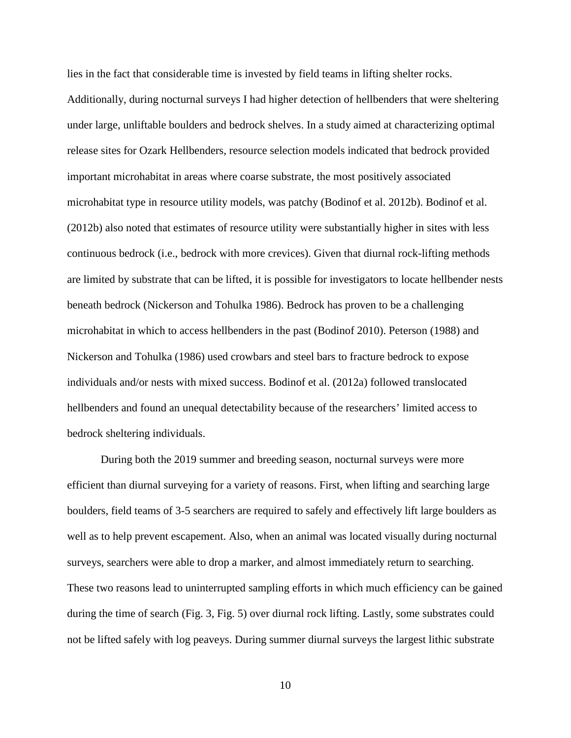lies in the fact that considerable time is invested by field teams in lifting shelter rocks. Additionally, during nocturnal surveys I had higher detection of hellbenders that were sheltering under large, unliftable boulders and bedrock shelves. In a study aimed at characterizing optimal release sites for Ozark Hellbenders, resource selection models indicated that bedrock provided important microhabitat in areas where coarse substrate, the most positively associated microhabitat type in resource utility models, was patchy (Bodinof et al. 2012b). Bodinof et al. (2012b) also noted that estimates of resource utility were substantially higher in sites with less continuous bedrock (i.e., bedrock with more crevices). Given that diurnal rock-lifting methods are limited by substrate that can be lifted, it is possible for investigators to locate hellbender nests beneath bedrock (Nickerson and Tohulka 1986). Bedrock has proven to be a challenging microhabitat in which to access hellbenders in the past (Bodinof 2010). Peterson (1988) and Nickerson and Tohulka (1986) used crowbars and steel bars to fracture bedrock to expose individuals and/or nests with mixed success. Bodinof et al. (2012a) followed translocated hellbenders and found an unequal detectability because of the researchers' limited access to bedrock sheltering individuals.

During both the 2019 summer and breeding season, nocturnal surveys were more efficient than diurnal surveying for a variety of reasons. First, when lifting and searching large boulders, field teams of 3-5 searchers are required to safely and effectively lift large boulders as well as to help prevent escapement. Also, when an animal was located visually during nocturnal surveys, searchers were able to drop a marker, and almost immediately return to searching. These two reasons lead to uninterrupted sampling efforts in which much efficiency can be gained during the time of search (Fig. 3, Fig. 5) over diurnal rock lifting. Lastly, some substrates could not be lifted safely with log peaveys. During summer diurnal surveys the largest lithic substrate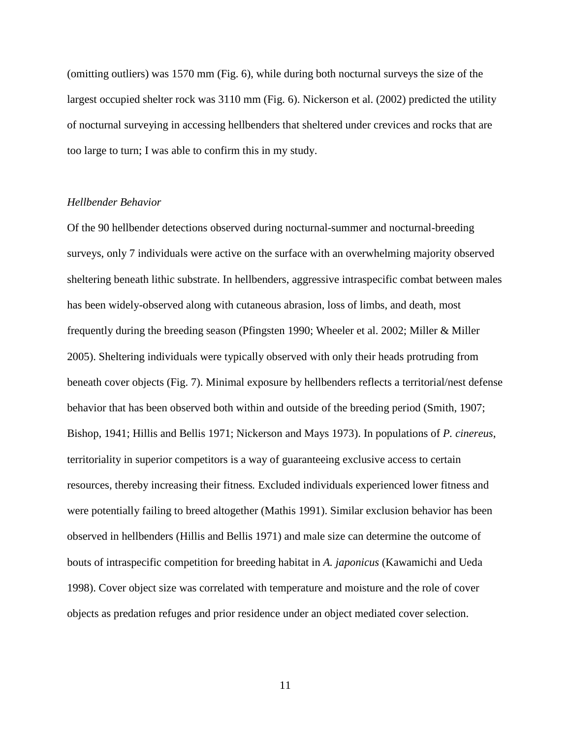(omitting outliers) was 1570 mm (Fig. 6), while during both nocturnal surveys the size of the largest occupied shelter rock was 3110 mm (Fig. 6). Nickerson et al. (2002) predicted the utility of nocturnal surveying in accessing hellbenders that sheltered under crevices and rocks that are too large to turn; I was able to confirm this in my study.

#### *Hellbender Behavior*

Of the 90 hellbender detections observed during nocturnal-summer and nocturnal-breeding surveys, only 7 individuals were active on the surface with an overwhelming majority observed sheltering beneath lithic substrate. In hellbenders, aggressive intraspecific combat between males has been widely-observed along with cutaneous abrasion, loss of limbs, and death, most frequently during the breeding season (Pfingsten 1990; Wheeler et al. 2002; Miller & Miller 2005). Sheltering individuals were typically observed with only their heads protruding from beneath cover objects (Fig. 7). Minimal exposure by hellbenders reflects a territorial/nest defense behavior that has been observed both within and outside of the breeding period (Smith, 1907; Bishop, 1941; Hillis and Bellis 1971; Nickerson and Mays 1973). In populations of *P. cinereus*, territoriality in superior competitors is a way of guaranteeing exclusive access to certain resources, thereby increasing their fitness*.* Excluded individuals experienced lower fitness and were potentially failing to breed altogether (Mathis 1991). Similar exclusion behavior has been observed in hellbenders (Hillis and Bellis 1971) and male size can determine the outcome of bouts of intraspecific competition for breeding habitat in *A. japonicus* (Kawamichi and Ueda 1998). Cover object size was correlated with temperature and moisture and the role of cover objects as predation refuges and prior residence under an object mediated cover selection.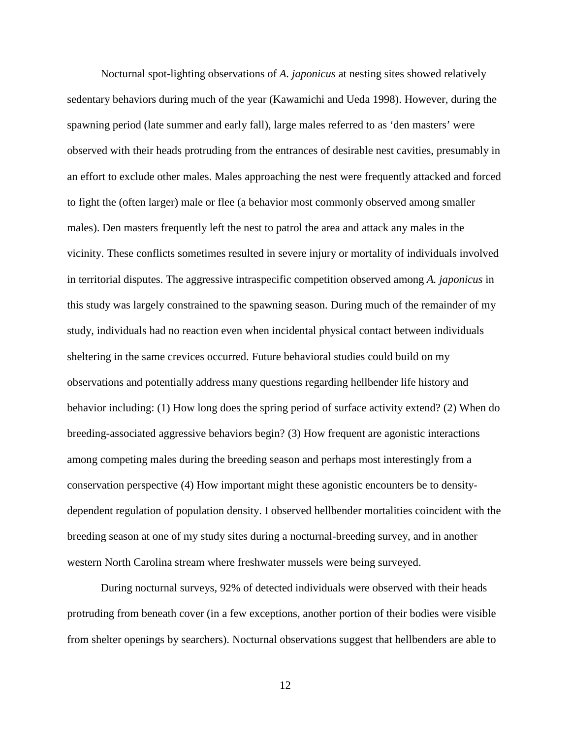Nocturnal spot-lighting observations of *A. japonicus* at nesting sites showed relatively sedentary behaviors during much of the year (Kawamichi and Ueda 1998). However, during the spawning period (late summer and early fall), large males referred to as 'den masters' were observed with their heads protruding from the entrances of desirable nest cavities, presumably in an effort to exclude other males. Males approaching the nest were frequently attacked and forced to fight the (often larger) male or flee (a behavior most commonly observed among smaller males). Den masters frequently left the nest to patrol the area and attack any males in the vicinity. These conflicts sometimes resulted in severe injury or mortality of individuals involved in territorial disputes. The aggressive intraspecific competition observed among *A. japonicus* in this study was largely constrained to the spawning season. During much of the remainder of my study, individuals had no reaction even when incidental physical contact between individuals sheltering in the same crevices occurred. Future behavioral studies could build on my observations and potentially address many questions regarding hellbender life history and behavior including: (1) How long does the spring period of surface activity extend? (2) When do breeding-associated aggressive behaviors begin? (3) How frequent are agonistic interactions among competing males during the breeding season and perhaps most interestingly from a conservation perspective (4) How important might these agonistic encounters be to densitydependent regulation of population density. I observed hellbender mortalities coincident with the breeding season at one of my study sites during a nocturnal-breeding survey, and in another western North Carolina stream where freshwater mussels were being surveyed.

During nocturnal surveys, 92% of detected individuals were observed with their heads protruding from beneath cover (in a few exceptions, another portion of their bodies were visible from shelter openings by searchers). Nocturnal observations suggest that hellbenders are able to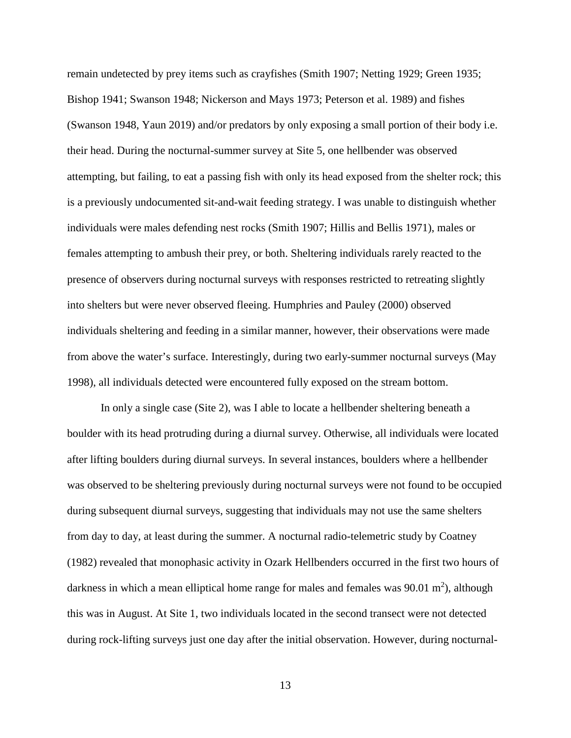remain undetected by prey items such as crayfishes (Smith 1907; Netting 1929; Green 1935; Bishop 1941; Swanson 1948; Nickerson and Mays 1973; Peterson et al. 1989) and fishes (Swanson 1948, Yaun 2019) and/or predators by only exposing a small portion of their body i.e. their head. During the nocturnal-summer survey at Site 5, one hellbender was observed attempting, but failing, to eat a passing fish with only its head exposed from the shelter rock; this is a previously undocumented sit-and-wait feeding strategy. I was unable to distinguish whether individuals were males defending nest rocks (Smith 1907; Hillis and Bellis 1971), males or females attempting to ambush their prey, or both. Sheltering individuals rarely reacted to the presence of observers during nocturnal surveys with responses restricted to retreating slightly into shelters but were never observed fleeing. Humphries and Pauley (2000) observed individuals sheltering and feeding in a similar manner, however, their observations were made from above the water's surface. Interestingly, during two early-summer nocturnal surveys (May 1998), all individuals detected were encountered fully exposed on the stream bottom.

In only a single case (Site 2), was I able to locate a hellbender sheltering beneath a boulder with its head protruding during a diurnal survey. Otherwise, all individuals were located after lifting boulders during diurnal surveys. In several instances, boulders where a hellbender was observed to be sheltering previously during nocturnal surveys were not found to be occupied during subsequent diurnal surveys, suggesting that individuals may not use the same shelters from day to day, at least during the summer. A nocturnal radio-telemetric study by Coatney (1982) revealed that monophasic activity in Ozark Hellbenders occurred in the first two hours of darkness in which a mean elliptical home range for males and females was  $90.01 \text{ m}^2$ ), although this was in August. At Site 1, two individuals located in the second transect were not detected during rock-lifting surveys just one day after the initial observation. However, during nocturnal-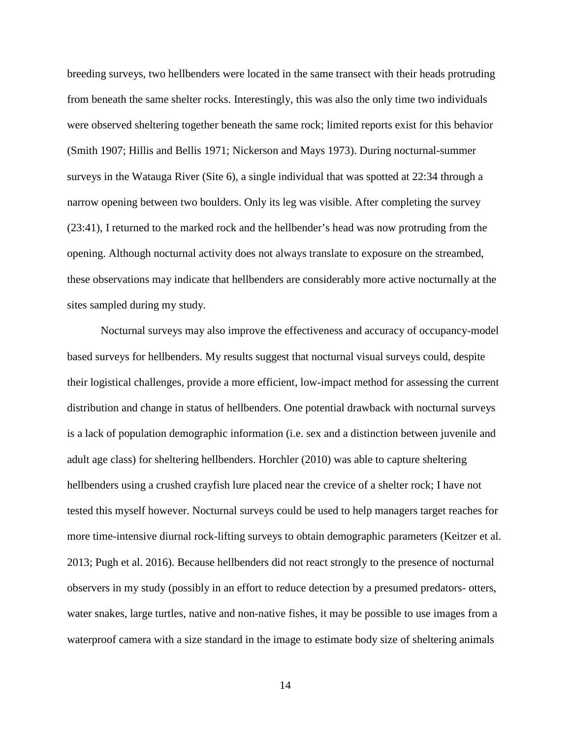breeding surveys, two hellbenders were located in the same transect with their heads protruding from beneath the same shelter rocks. Interestingly, this was also the only time two individuals were observed sheltering together beneath the same rock; limited reports exist for this behavior (Smith 1907; Hillis and Bellis 1971; Nickerson and Mays 1973). During nocturnal-summer surveys in the Watauga River (Site 6), a single individual that was spotted at 22:34 through a narrow opening between two boulders. Only its leg was visible. After completing the survey (23:41), I returned to the marked rock and the hellbender's head was now protruding from the opening. Although nocturnal activity does not always translate to exposure on the streambed, these observations may indicate that hellbenders are considerably more active nocturnally at the sites sampled during my study.

Nocturnal surveys may also improve the effectiveness and accuracy of occupancy-model based surveys for hellbenders. My results suggest that nocturnal visual surveys could, despite their logistical challenges, provide a more efficient, low-impact method for assessing the current distribution and change in status of hellbenders. One potential drawback with nocturnal surveys is a lack of population demographic information (i.e. sex and a distinction between juvenile and adult age class) for sheltering hellbenders. Horchler (2010) was able to capture sheltering hellbenders using a crushed crayfish lure placed near the crevice of a shelter rock; I have not tested this myself however. Nocturnal surveys could be used to help managers target reaches for more time-intensive diurnal rock-lifting surveys to obtain demographic parameters (Keitzer et al. 2013; Pugh et al. 2016). Because hellbenders did not react strongly to the presence of nocturnal observers in my study (possibly in an effort to reduce detection by a presumed predators- otters, water snakes, large turtles, native and non-native fishes, it may be possible to use images from a waterproof camera with a size standard in the image to estimate body size of sheltering animals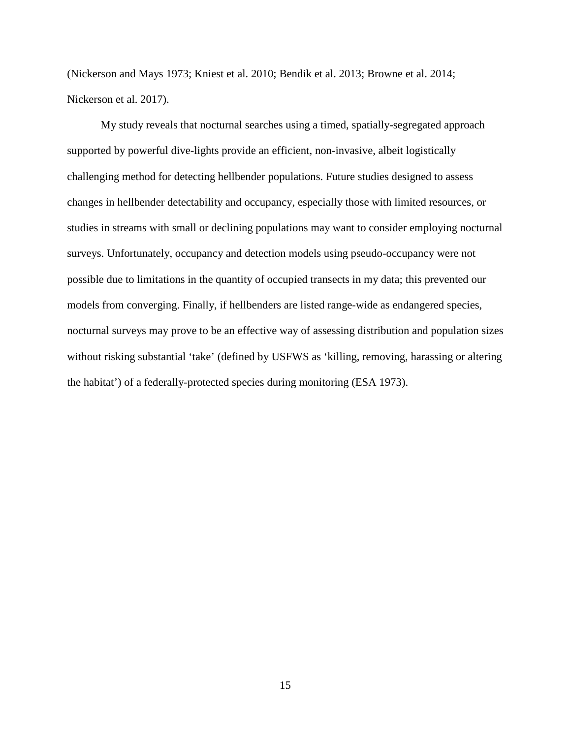(Nickerson and Mays 1973; Kniest et al. 2010; Bendik et al. 2013; Browne et al. 2014; Nickerson et al. 2017).

My study reveals that nocturnal searches using a timed, spatially-segregated approach supported by powerful dive-lights provide an efficient, non-invasive, albeit logistically challenging method for detecting hellbender populations. Future studies designed to assess changes in hellbender detectability and occupancy, especially those with limited resources, or studies in streams with small or declining populations may want to consider employing nocturnal surveys. Unfortunately, occupancy and detection models using pseudo-occupancy were not possible due to limitations in the quantity of occupied transects in my data; this prevented our models from converging. Finally, if hellbenders are listed range-wide as endangered species, nocturnal surveys may prove to be an effective way of assessing distribution and population sizes without risking substantial 'take' (defined by USFWS as 'killing, removing, harassing or altering the habitat') of a federally-protected species during monitoring (ESA 1973).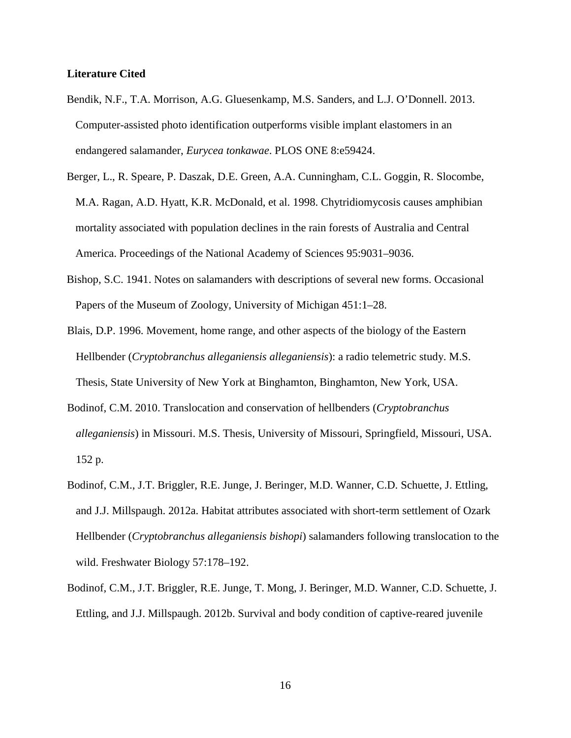#### **Literature Cited**

- Bendik, N.F., T.A. Morrison, A.G. Gluesenkamp, M.S. Sanders, and L.J. O'Donnell. 2013. Computer-assisted photo identification outperforms visible implant elastomers in an endangered salamander, *Eurycea tonkawae*. PLOS ONE 8:e59424.
- Berger, L., R. Speare, P. Daszak, D.E. Green, A.A. Cunningham, C.L. Goggin, R. Slocombe, M.A. Ragan, A.D. Hyatt, K.R. McDonald, et al. 1998. Chytridiomycosis causes amphibian mortality associated with population declines in the rain forests of Australia and Central America. Proceedings of the National Academy of Sciences 95:9031–9036.
- Bishop, S.C. 1941. Notes on salamanders with descriptions of several new forms. Occasional Papers of the Museum of Zoology, University of Michigan 451:1–28.
- Blais, D.P. 1996. Movement, home range, and other aspects of the biology of the Eastern Hellbender (*Cryptobranchus alleganiensis alleganiensis*): a radio telemetric study. M.S. Thesis, State University of New York at Binghamton, Binghamton, New York, USA.
- Bodinof, C.M. 2010. Translocation and conservation of hellbenders (*Cryptobranchus alleganiensis*) in Missouri. M.S. Thesis, University of Missouri, Springfield, Missouri, USA. 152 p.
- Bodinof, C.M., J.T. Briggler, R.E. Junge, J. Beringer, M.D. Wanner, C.D. Schuette, J. Ettling, and J.J. Millspaugh. 2012a. Habitat attributes associated with short-term settlement of Ozark Hellbender (*Cryptobranchus alleganiensis bishopi*) salamanders following translocation to the wild. Freshwater Biology 57:178–192.
- Bodinof, C.M., J.T. Briggler, R.E. Junge, T. Mong, J. Beringer, M.D. Wanner, C.D. Schuette, J. Ettling, and J.J. Millspaugh. 2012b. Survival and body condition of captive-reared juvenile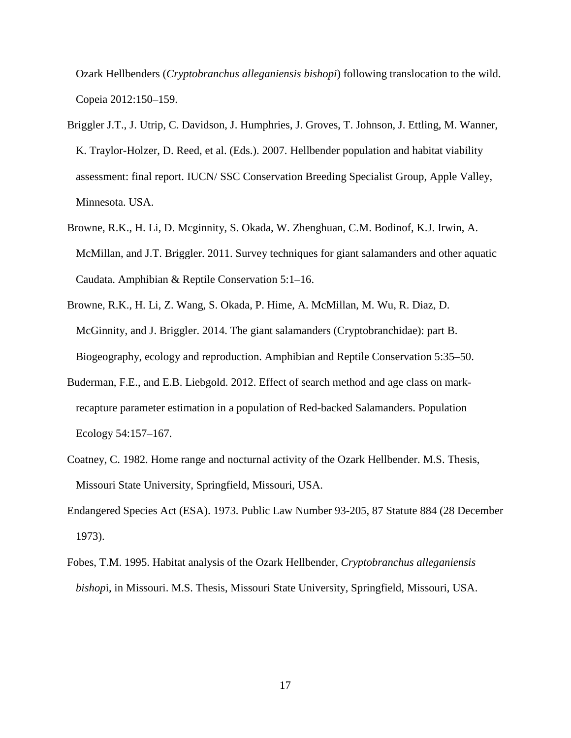Ozark Hellbenders (*Cryptobranchus alleganiensis bishopi*) following translocation to the wild. Copeia 2012:150–159.

- Briggler J.T., J. Utrip, C. Davidson, J. Humphries, J. Groves, T. Johnson, J. Ettling, M. Wanner, K. Traylor-Holzer, D. Reed, et al. (Eds.). 2007. Hellbender population and habitat viability assessment: final report. IUCN/ SSC Conservation Breeding Specialist Group, Apple Valley, Minnesota. USA.
- Browne, R.K., H. Li, D. Mcginnity, S. Okada, W. Zhenghuan, C.M. Bodinof, K.J. Irwin, A. McMillan, and J.T. Briggler. 2011. Survey techniques for giant salamanders and other aquatic Caudata. Amphibian & Reptile Conservation 5:1–16.
- Browne, R.K., H. Li, Z. Wang, S. Okada, P. Hime, A. McMillan, M. Wu, R. Diaz, D. McGinnity, and J. Briggler. 2014. The giant salamanders (Cryptobranchidae): part B. Biogeography, ecology and reproduction. Amphibian and Reptile Conservation 5:35–50.
- Buderman, F.E., and E.B. Liebgold. 2012. Effect of search method and age class on markrecapture parameter estimation in a population of Red-backed Salamanders. Population Ecology 54:157–167.
- Coatney, C. 1982. Home range and nocturnal activity of the Ozark Hellbender. M.S. Thesis, Missouri State University, Springfield, Missouri, USA.
- Endangered Species Act (ESA). 1973. Public Law Number 93-205, 87 Statute 884 (28 December 1973).
- Fobes, T.M. 1995. Habitat analysis of the Ozark Hellbender, *Cryptobranchus alleganiensis bishop*i, in Missouri. M.S. Thesis, Missouri State University, Springfield, Missouri, USA.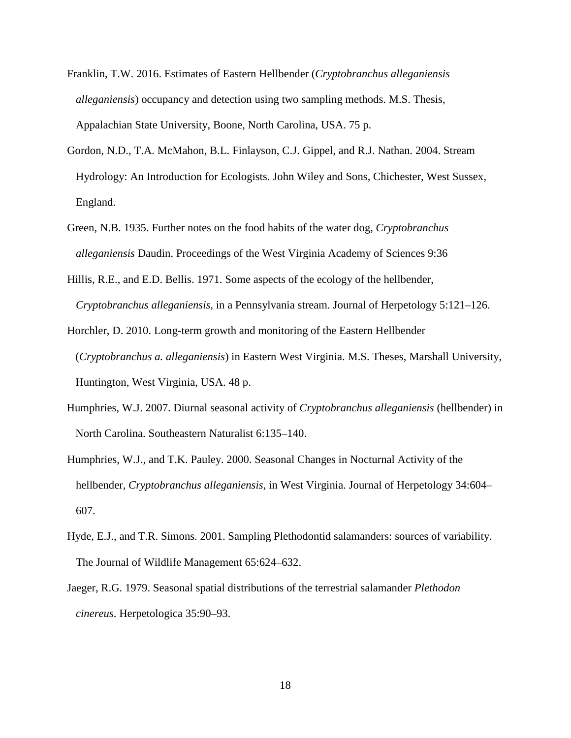- Franklin, T.W. 2016. Estimates of Eastern Hellbender (*Cryptobranchus alleganiensis alleganiensis*) occupancy and detection using two sampling methods. M.S. Thesis, Appalachian State University, Boone, North Carolina, USA. 75 p.
- Gordon, N.D., T.A. McMahon, B.L. Finlayson, C.J. Gippel, and R.J. Nathan. 2004. Stream Hydrology: An Introduction for Ecologists. John Wiley and Sons, Chichester, West Sussex, England.
- Green, N.B. 1935. Further notes on the food habits of the water dog, *Cryptobranchus alleganiensis* Daudin. Proceedings of the West Virginia Academy of Sciences 9:36
- Hillis, R.E., and E.D. Bellis. 1971. Some aspects of the ecology of the hellbender, *Cryptobranchus alleganiensis*, in a Pennsylvania stream. Journal of Herpetology 5:121–126.

Horchler, D. 2010. Long-term growth and monitoring of the Eastern Hellbender (*Cryptobranchus a. alleganiensis*) in Eastern West Virginia. M.S. Theses, Marshall University, Huntington, West Virginia, USA. 48 p.

- Humphries, W.J. 2007. Diurnal seasonal activity of *Cryptobranchus alleganiensis* (hellbender) in North Carolina. Southeastern Naturalist 6:135–140.
- Humphries, W.J., and T.K. Pauley. 2000. Seasonal Changes in Nocturnal Activity of the hellbender, *Cryptobranchus alleganiensis*, in West Virginia. Journal of Herpetology 34:604– 607.
- Hyde, E.J., and T.R. Simons. 2001. Sampling Plethodontid salamanders: sources of variability. The Journal of Wildlife Management 65:624–632.
- Jaeger, R.G. 1979. Seasonal spatial distributions of the terrestrial salamander *Plethodon cinereus*. Herpetologica 35:90–93.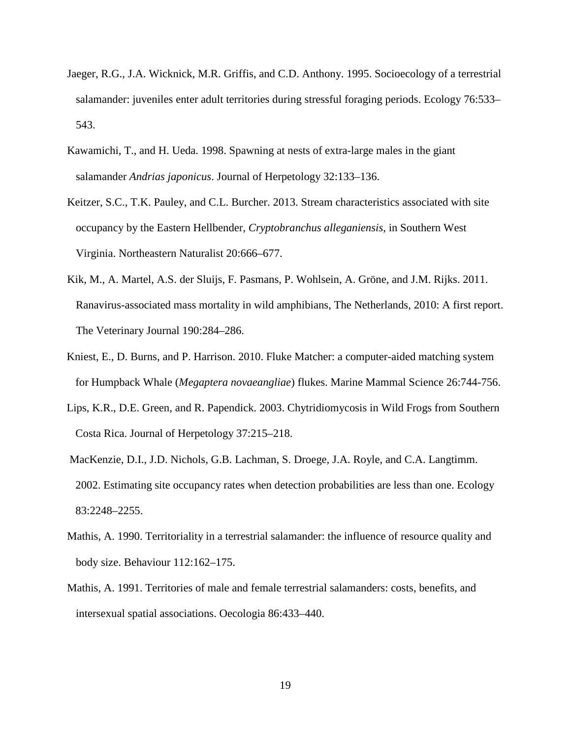- Jaeger, R.G., J.A. Wicknick, M.R. Griffis, and C.D. Anthony. 1995. Socioecology of a terrestrial salamander: juveniles enter adult territories during stressful foraging periods. Ecology 76:533– 543.
- Kawamichi, T., and H. Ueda. 1998. Spawning at nests of extra-large males in the giant salamander *Andrias japonicus*. Journal of Herpetology 32:133–136.
- Keitzer, S.C., T.K. Pauley, and C.L. Burcher. 2013. Stream characteristics associated with site occupancy by the Eastern Hellbender, *Cryptobranchus alleganiensis*, in Southern West Virginia. Northeastern Naturalist 20:666–677.
- Kik, M., A. Martel, A.S. der Sluijs, F. Pasmans, P. Wohlsein, A. Gröne, and J.M. Rijks. 2011. Ranavirus-associated mass mortality in wild amphibians, The Netherlands, 2010: A first report. The Veterinary Journal 190:284–286.
- Kniest, E., D. Burns, and P. Harrison. 2010. Fluke Matcher: a computer-aided matching system for Humpback Whale (*Megaptera novaeangliae*) flukes. Marine Mammal Science 26:744-756.
- Lips, K.R., D.E. Green, and R. Papendick. 2003. Chytridiomycosis in Wild Frogs from Southern Costa Rica. Journal of Herpetology 37:215–218.
- MacKenzie, D.I., J.D. Nichols, G.B. Lachman, S. Droege, J.A. Royle, and C.A. Langtimm. 2002. Estimating site occupancy rates when detection probabilities are less than one. Ecology 83:2248–2255.
- Mathis, A. 1990. Territoriality in a terrestrial salamander: the influence of resource quality and body size. Behaviour 112:162–175.
- Mathis, A. 1991. Territories of male and female terrestrial salamanders: costs, benefits, and intersexual spatial associations. Oecologia 86:433–440.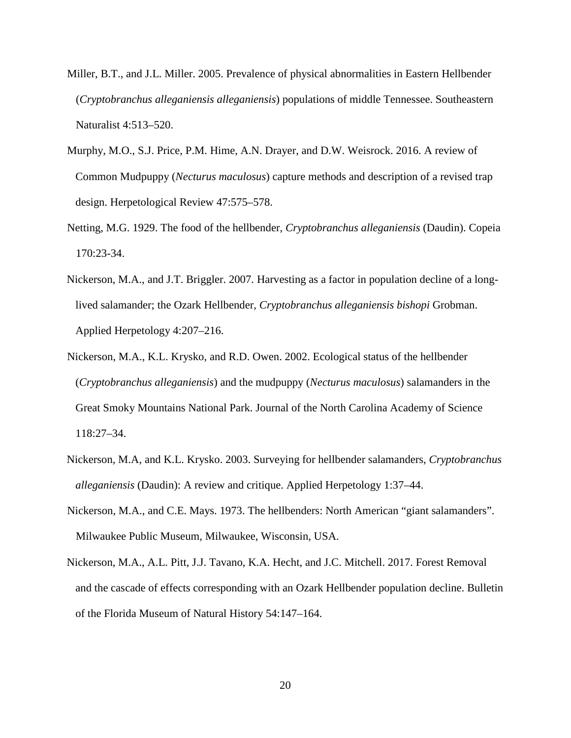- Miller, B.T., and J.L. Miller. 2005. Prevalence of physical abnormalities in Eastern Hellbender (*Cryptobranchus alleganiensis alleganiensis*) populations of middle Tennessee. Southeastern Naturalist 4:513–520.
- Murphy, M.O., S.J. Price, P.M. Hime, A.N. Drayer, and D.W. Weisrock. 2016. A review of Common Mudpuppy (*Necturus maculosus*) capture methods and description of a revised trap design. Herpetological Review 47:575–578.
- Netting, M.G. 1929. The food of the hellbender, *Cryptobranchus alleganiensis* (Daudin). Copeia 170:23-34.
- Nickerson, M.A., and J.T. Briggler. 2007. Harvesting as a factor in population decline of a longlived salamander; the Ozark Hellbender*, Cryptobranchus alleganiensis bishopi* Grobman. Applied Herpetology 4:207–216.
- Nickerson, M.A., K.L. Krysko, and R.D. Owen. 2002. Ecological status of the hellbender (*Cryptobranchus alleganiensis*) and the mudpuppy (*Necturus maculosus*) salamanders in the Great Smoky Mountains National Park. Journal of the North Carolina Academy of Science 118:27–34.
- Nickerson, M.A, and K.L. Krysko. 2003. Surveying for hellbender salamanders, *Cryptobranchus alleganiensis* (Daudin): A review and critique. Applied Herpetology 1:37–44.
- Nickerson, M.A., and C.E. Mays. 1973. The hellbenders: North American "giant salamanders". Milwaukee Public Museum, Milwaukee, Wisconsin, USA.
- Nickerson, M.A., A.L. Pitt, J.J. Tavano, K.A. Hecht, and J.C. Mitchell. 2017. Forest Removal and the cascade of effects corresponding with an Ozark Hellbender population decline. Bulletin of the Florida Museum of Natural History 54:147–164.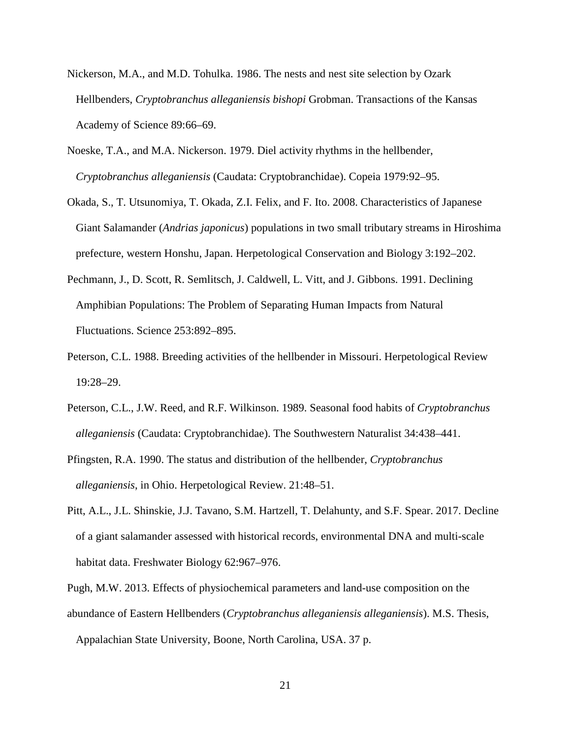- Nickerson, M.A., and M.D. Tohulka. 1986. The nests and nest site selection by Ozark Hellbenders, *Cryptobranchus alleganiensis bishopi* Grobman. Transactions of the Kansas Academy of Science 89:66–69.
- Noeske, T.A., and M.A. Nickerson. 1979. Diel activity rhythms in the hellbender, *Cryptobranchus alleganiensis* (Caudata: Cryptobranchidae). Copeia 1979:92–95.
- Okada, S., T. Utsunomiya, T. Okada, Z.I. Felix, and F. Ito. 2008. Characteristics of Japanese Giant Salamander (*Andrias japonicus*) populations in two small tributary streams in Hiroshima prefecture, western Honshu, Japan. Herpetological Conservation and Biology 3:192–202.
- Pechmann, J., D. Scott, R. Semlitsch, J. Caldwell, L. Vitt, and J. Gibbons. 1991. Declining Amphibian Populations: The Problem of Separating Human Impacts from Natural Fluctuations. Science 253:892–895.
- Peterson, C.L. 1988. Breeding activities of the hellbender in Missouri. Herpetological Review 19:28–29.
- Peterson, C.L., J.W. Reed, and R.F. Wilkinson. 1989. Seasonal food habits of *Cryptobranchus alleganiensis* (Caudata: Cryptobranchidae). The Southwestern Naturalist 34:438–441.
- Pfingsten, R.A. 1990. The status and distribution of the hellbender, *Cryptobranchus alleganiensis*, in Ohio. Herpetological Review. 21:48–51.
- Pitt, A.L., J.L. Shinskie, J.J. Tavano, S.M. Hartzell, T. Delahunty, and S.F. Spear. 2017. Decline of a giant salamander assessed with historical records, environmental DNA and multi-scale habitat data. Freshwater Biology 62:967–976.

Pugh, M.W. 2013. Effects of physiochemical parameters and land-use composition on the abundance of Eastern Hellbenders (*Cryptobranchus alleganiensis alleganiensis*). M.S. Thesis,

Appalachian State University, Boone, North Carolina, USA. 37 p.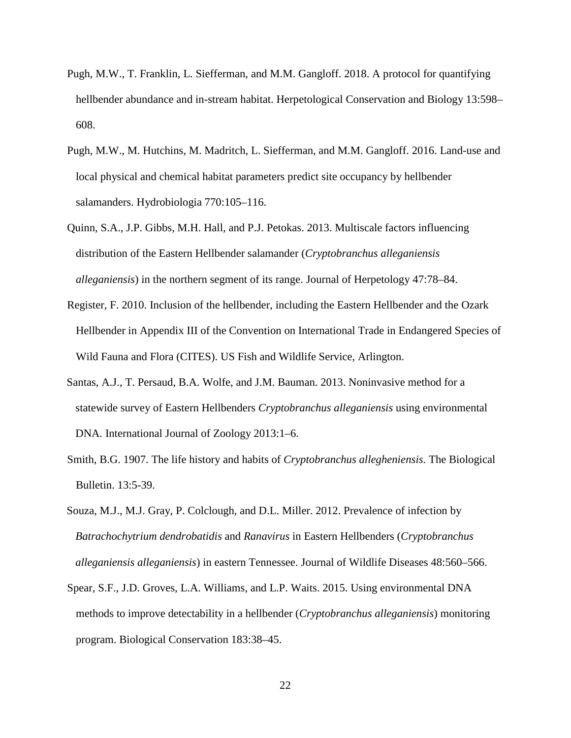- Pugh, M.W., T. Franklin, L. Siefferman, and M.M. Gangloff. 2018. A protocol for quantifying hellbender abundance and in-stream habitat. Herpetological Conservation and Biology 13:598– 608.
- Pugh, M.W., M. Hutchins, M. Madritch, L. Siefferman, and M.M. Gangloff. 2016. Land-use and local physical and chemical habitat parameters predict site occupancy by hellbender salamanders. Hydrobiologia 770:105–116.
- Quinn, S.A., J.P. Gibbs, M.H. Hall, and P.J. Petokas. 2013. Multiscale factors influencing distribution of the Eastern Hellbender salamander (*Cryptobranchus alleganiensis alleganiensis*) in the northern segment of its range. Journal of Herpetology 47:78–84.
- Register, F. 2010. Inclusion of the hellbender, including the Eastern Hellbender and the Ozark Hellbender in Appendix III of the Convention on International Trade in Endangered Species of Wild Fauna and Flora (CITES). US Fish and Wildlife Service, Arlington.
- Santas, A.J., T. Persaud, B.A. Wolfe, and J.M. Bauman. 2013. Noninvasive method for a statewide survey of Eastern Hellbenders *Cryptobranchus alleganiensis* using environmental DNA. International Journal of Zoology 2013:1–6.
- Smith, B.G. 1907. The life history and habits of *Cryptobranchus allegheniensis.* The Biological Bulletin. 13:5-39.
- Souza, M.J., M.J. Gray, P. Colclough, and D.L. Miller. 2012. Prevalence of infection by *Batrachochytrium dendrobatidis* and *Ranavirus* in Eastern Hellbenders (*Cryptobranchus alleganiensis alleganiensis*) in eastern Tennessee. Journal of Wildlife Diseases 48:560–566.
- Spear, S.F., J.D. Groves, L.A. Williams, and L.P. Waits. 2015. Using environmental DNA methods to improve detectability in a hellbender (*Cryptobranchus alleganiensis*) monitoring program. Biological Conservation 183:38–45.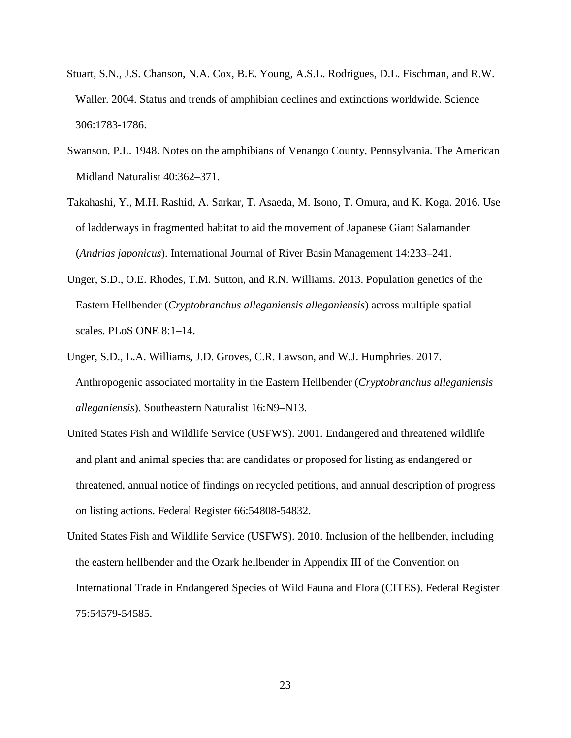- Stuart, S.N., J.S. Chanson, N.A. Cox, B.E. Young, A.S.L. Rodrigues, D.L. Fischman, and R.W. Waller. 2004. Status and trends of amphibian declines and extinctions worldwide. Science 306:1783-1786.
- Swanson, P.L. 1948. Notes on the amphibians of Venango County, Pennsylvania. The American Midland Naturalist 40:362–371.
- Takahashi, Y., M.H. Rashid, A. Sarkar, T. Asaeda, M. Isono, T. Omura, and K. Koga. 2016. Use of ladderways in fragmented habitat to aid the movement of Japanese Giant Salamander (*Andrias japonicus*). International Journal of River Basin Management 14:233–241.
- Unger, S.D., O.E. Rhodes, T.M. Sutton, and R.N. Williams. 2013. Population genetics of the Eastern Hellbender (*Cryptobranchus alleganiensis alleganiensis*) across multiple spatial scales. PLoS ONE 8:1–14.
- Unger, S.D., L.A. Williams, J.D. Groves, C.R. Lawson, and W.J. Humphries. 2017. Anthropogenic associated mortality in the Eastern Hellbender (*Cryptobranchus alleganiensis alleganiensis*). Southeastern Naturalist 16:N9–N13.
- United States Fish and Wildlife Service (USFWS). 2001. Endangered and threatened wildlife and plant and animal species that are candidates or proposed for listing as endangered or threatened, annual notice of findings on recycled petitions, and annual description of progress on listing actions. Federal Register 66:54808-54832.
- United States Fish and Wildlife Service (USFWS). 2010. Inclusion of the hellbender, including the eastern hellbender and the Ozark hellbender in Appendix III of the Convention on International Trade in Endangered Species of Wild Fauna and Flora (CITES). Federal Register 75:54579-54585.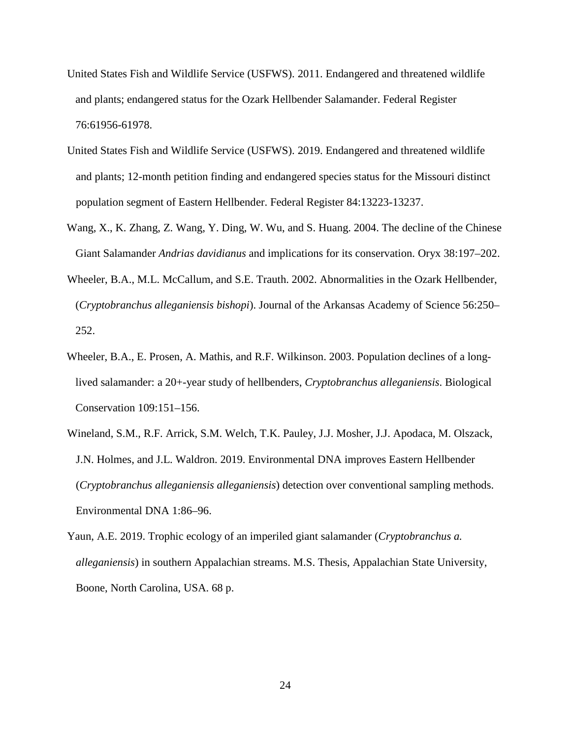- United States Fish and Wildlife Service (USFWS). 2011. Endangered and threatened wildlife and plants; endangered status for the Ozark Hellbender Salamander. Federal Register 76:61956-61978.
- United States Fish and Wildlife Service (USFWS). 2019. Endangered and threatened wildlife and plants; 12-month petition finding and endangered species status for the Missouri distinct population segment of Eastern Hellbender. Federal Register 84:13223-13237.
- Wang, X., K. Zhang, Z. Wang, Y. Ding, W. Wu, and S. Huang. 2004. The decline of the Chinese Giant Salamander *Andrias davidianus* and implications for its conservation. Oryx 38:197–202.
- Wheeler, B.A., M.L. McCallum, and S.E. Trauth. 2002. Abnormalities in the Ozark Hellbender, (*Cryptobranchus alleganiensis bishopi*). Journal of the Arkansas Academy of Science 56:250– 252.
- Wheeler, B.A., E. Prosen, A. Mathis, and R.F. Wilkinson. 2003. Population declines of a longlived salamander: a 20+-year study of hellbenders, *Cryptobranchus alleganiensis*. Biological Conservation 109:151–156.
- Wineland, S.M., R.F. Arrick, S.M. Welch, T.K. Pauley, J.J. Mosher, J.J. Apodaca, M. Olszack, J.N. Holmes, and J.L. Waldron. 2019. Environmental DNA improves Eastern Hellbender (*Cryptobranchus alleganiensis alleganiensis*) detection over conventional sampling methods. Environmental DNA 1:86–96.
- Yaun, A.E. 2019. Trophic ecology of an imperiled giant salamander (*Cryptobranchus a. alleganiensis*) in southern Appalachian streams. M.S. Thesis, Appalachian State University, Boone, North Carolina, USA. 68 p.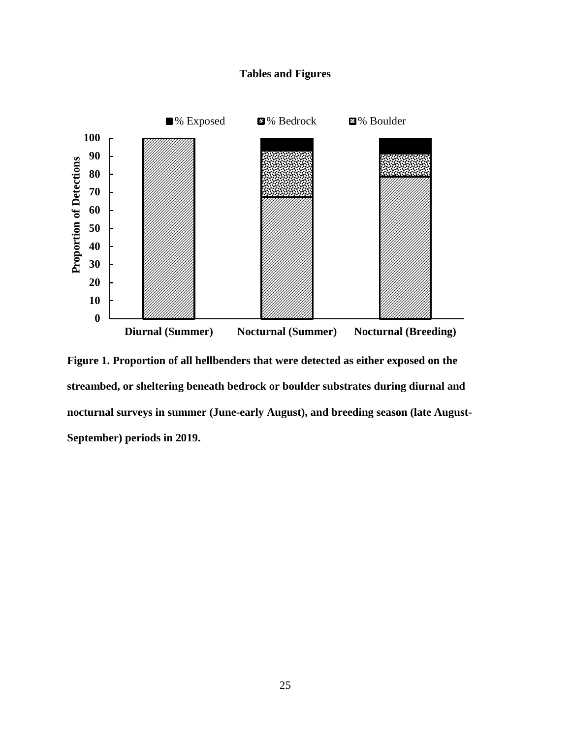## **Tables and Figures**



**Figure 1. Proportion of all hellbenders that were detected as either exposed on the streambed, or sheltering beneath bedrock or boulder substrates during diurnal and nocturnal surveys in summer (June-early August), and breeding season (late August-September) periods in 2019.**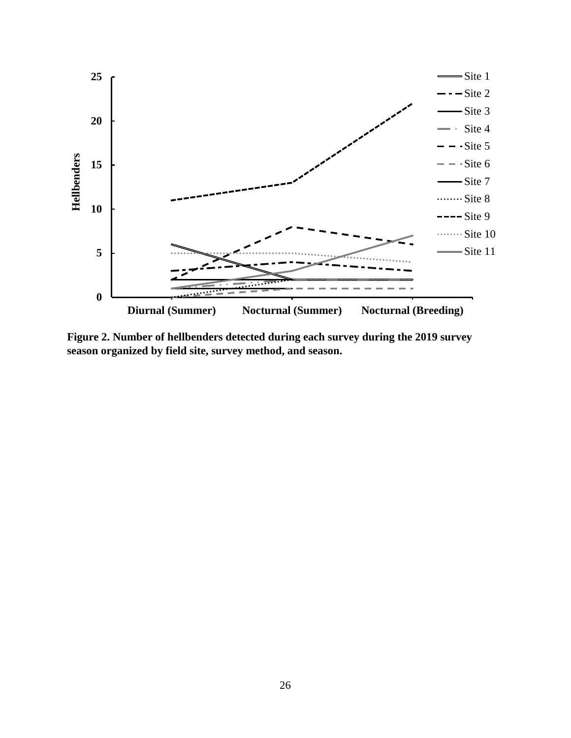

**Figure 2. Number of hellbenders detected during each survey during the 2019 survey season organized by field site, survey method, and season.**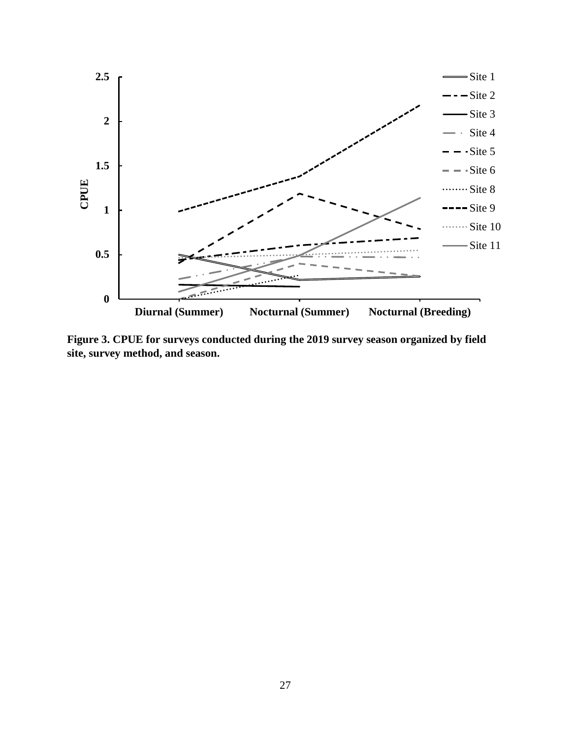

**Figure 3. CPUE for surveys conducted during the 2019 survey season organized by field site, survey method, and season.**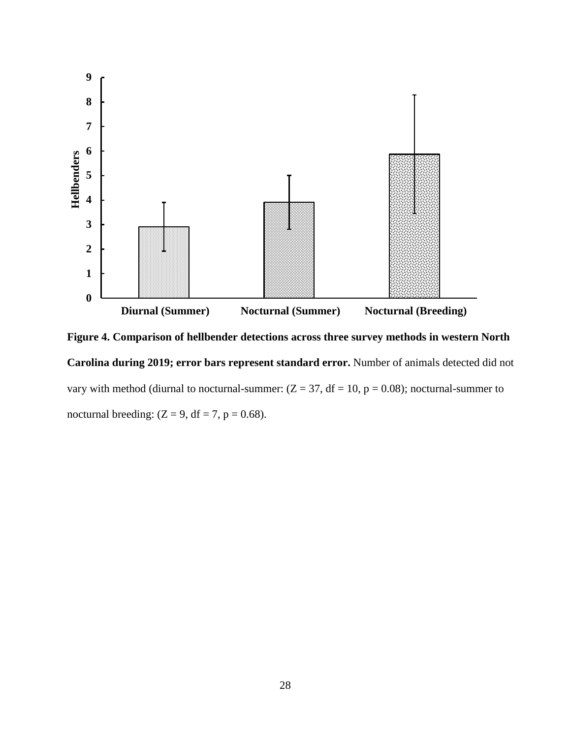

**Figure 4. Comparison of hellbender detections across three survey methods in western North Carolina during 2019; error bars represent standard error.** Number of animals detected did not vary with method (diurnal to nocturnal-summer:  $(Z = 37, df = 10, p = 0.08)$ ; nocturnal-summer to nocturnal breeding:  $(Z = 9, df = 7, p = 0.68)$ .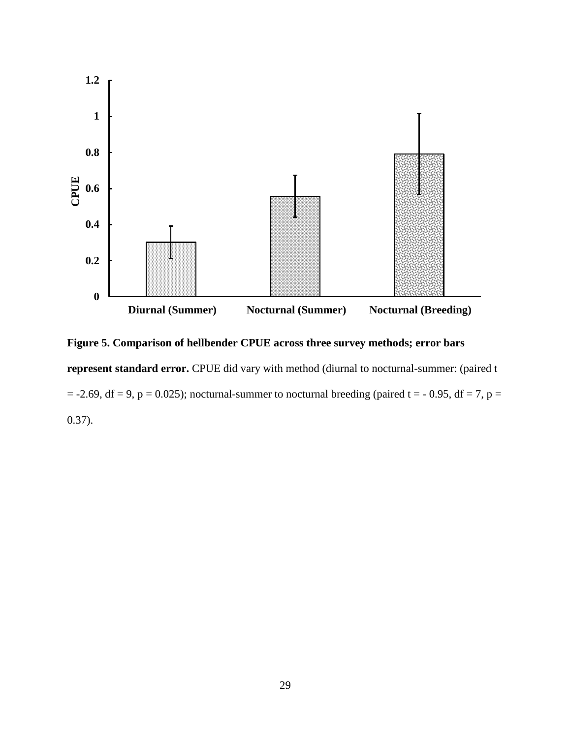

**Figure 5. Comparison of hellbender CPUE across three survey methods; error bars** represent standard error. CPUE did vary with method (diurnal to nocturnal-summer: (paired t  $= -2.69$ , df = 9, p = 0.025); nocturnal-summer to nocturnal breeding (paired t = - 0.95, df = 7, p = 0.37).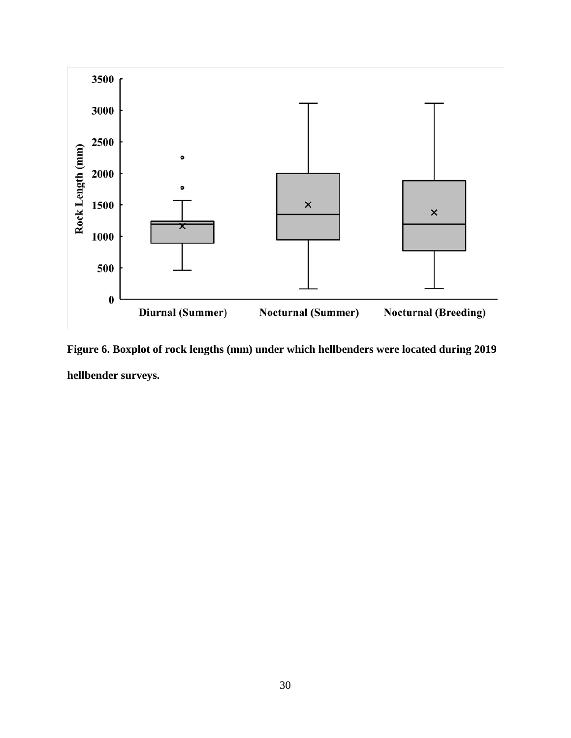

**Figure 6. Boxplot of rock lengths (mm) under which hellbenders were located during 2019 hellbender surveys.**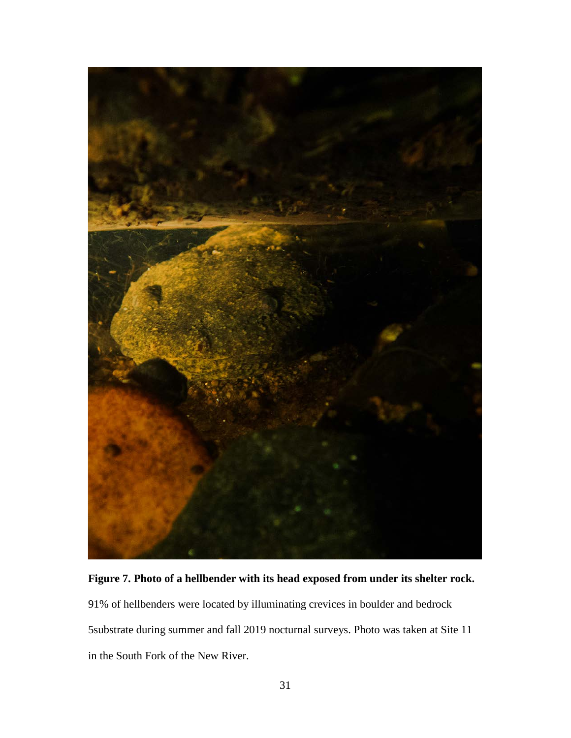

**Figure 7. Photo of a hellbender with its head exposed from under its shelter rock.** 

91% of hellbenders were located by illuminating crevices in boulder and bedrock 5substrate during summer and fall 2019 nocturnal surveys. Photo was taken at Site 11 in the South Fork of the New River.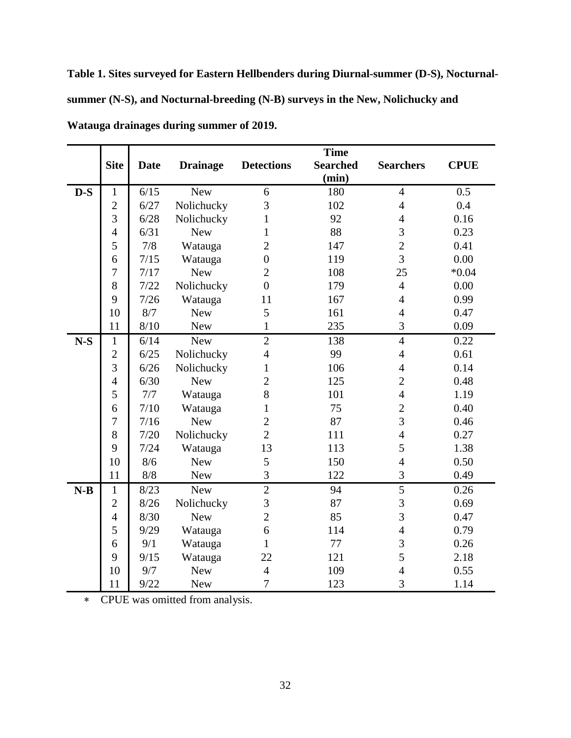**Table 1. Sites surveyed for Eastern Hellbenders during Diurnal-summer (D-S), Nocturnalsummer (N-S), and Nocturnal-breeding (N-B) surveys in the New, Nolichucky and Watauga drainages during summer of 2019.**

|       | <b>Site</b>      | <b>Date</b> | <b>Drainage</b> | <b>Detections</b> | <b>Time</b><br><b>Searched</b><br>(min) | <b>Searchers</b> | <b>CPUE</b> |
|-------|------------------|-------------|-----------------|-------------------|-----------------------------------------|------------------|-------------|
| $D-S$ | $\mathbf{1}$     | 6/15        | <b>New</b>      | 6                 | 180                                     | $\overline{4}$   | 0.5         |
|       | $\overline{2}$   | 6/27        | Nolichucky      | 3                 | 102                                     | $\overline{4}$   | 0.4         |
|       | 3                | 6/28        | Nolichucky      | 1                 | 92                                      | $\overline{4}$   | 0.16        |
|       | $\overline{4}$   | 6/31        | <b>New</b>      | 1                 | 88                                      | 3                | 0.23        |
|       | 5                | 7/8         | Watauga         | $\overline{2}$    | 147                                     | $\overline{2}$   | 0.41        |
|       | 6                | 7/15        | Watauga         | $\overline{0}$    | 119                                     | $\overline{3}$   | 0.00        |
|       | $\boldsymbol{7}$ | 7/17        | <b>New</b>      | $\overline{2}$    | 108                                     | 25               | $*0.04$     |
|       | 8                | 7/22        | Nolichucky      | $\overline{0}$    | 179                                     | $\overline{4}$   | 0.00        |
|       | 9                | 7/26        | Watauga         | 11                | 167                                     | $\overline{4}$   | 0.99        |
|       | 10               | 8/7         | <b>New</b>      | 5                 | 161                                     | $\overline{4}$   | 0.47        |
|       | 11               | 8/10        | <b>New</b>      | $\mathbf{1}$      | 235                                     | 3                | 0.09        |
| $N-S$ | $\mathbf{1}$     | 6/14        | <b>New</b>      | $\overline{2}$    | 138                                     | $\overline{4}$   | 0.22        |
|       | $\overline{2}$   | 6/25        | Nolichucky      | $\overline{4}$    | 99                                      | $\overline{4}$   | 0.61        |
|       | 3                | 6/26        | Nolichucky      | $\mathbf{1}$      | 106                                     | $\overline{4}$   | 0.14        |
|       | $\overline{4}$   | 6/30        | <b>New</b>      | $\overline{2}$    | 125                                     | $\overline{2}$   | 0.48        |
|       | 5                | 7/7         | Watauga         | 8                 | 101                                     | $\overline{4}$   | 1.19        |
|       | 6                | 7/10        | Watauga         | 1                 | 75                                      | $\overline{2}$   | 0.40        |
|       | 7                | 7/16        | <b>New</b>      | $\overline{2}$    | 87                                      | 3                | 0.46        |
|       | 8                | 7/20        | Nolichucky      | $\overline{2}$    | 111                                     | $\overline{4}$   | 0.27        |
|       | 9                | 7/24        | Watauga         | 13                | 113                                     | 5                | 1.38        |
|       | 10               | 8/6         | <b>New</b>      | 5                 | 150                                     | $\overline{4}$   | 0.50        |
|       | 11               | 8/8         | <b>New</b>      | 3                 | 122                                     | 3                | 0.49        |
| $N-B$ | $\mathbf{1}$     | 8/23        | <b>New</b>      | $\overline{2}$    | 94                                      | 5                | 0.26        |
|       | $\overline{2}$   | 8/26        | Nolichucky      | 3                 | 87                                      | 3                | 0.69        |
|       | $\overline{4}$   | 8/30        | <b>New</b>      | $\overline{2}$    | 85                                      | $\overline{3}$   | 0.47        |
|       | 5                | 9/29        | Watauga         | 6                 | 114                                     | $\overline{4}$   | 0.79        |
|       | 6                | 9/1         | Watauga         | $\mathbf{1}$      | 77                                      | 3                | 0.26        |
|       | 9                | 9/15        | Watauga         | 22                | 121                                     | 5                | 2.18        |
|       | 10               | 9/7         | <b>New</b>      | $\overline{4}$    | 109                                     | $\overline{4}$   | 0.55        |
|       | 11               | 9/22        | <b>New</b>      | $\overline{7}$    | 123                                     | 3                | 1.14        |

∗ CPUE was omitted from analysis.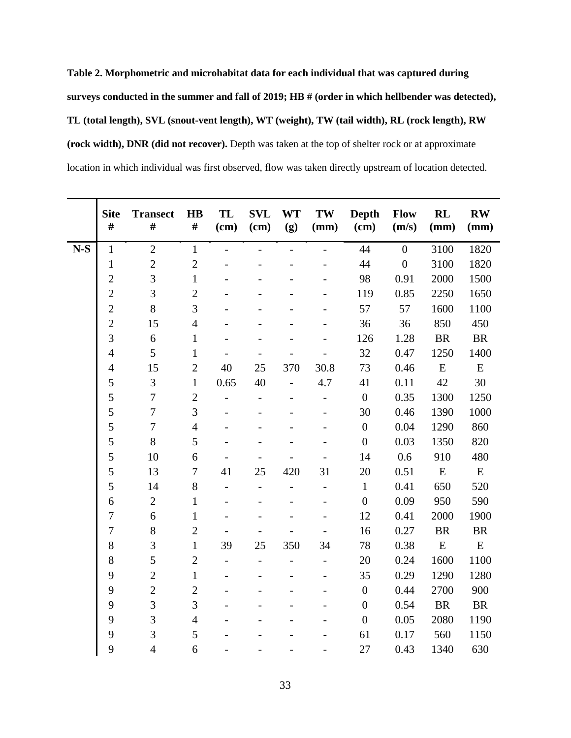**Table 2. Morphometric and microhabitat data for each individual that was captured during surveys conducted in the summer and fall of 2019; HB # (order in which hellbender was detected), TL (total length), SVL (snout-vent length), WT (weight), TW (tail width), RL (rock length), RW (rock width), DNR (did not recover).** Depth was taken at the top of shelter rock or at approximate location in which individual was first observed, flow was taken directly upstream of location detected.

|       | <b>Site</b><br># | <b>Transect</b><br># | <b>HB</b><br>#   | TL<br>(cm)               | <b>SVL</b><br>(cm)       | <b>WT</b><br>(g) | TW<br>(mm)               | <b>Depth</b><br>(cm) | Flow<br>(m/s)    | <b>RL</b><br>(mm) | $\mathbf{R}\mathbf{W}$<br>(mm) |
|-------|------------------|----------------------|------------------|--------------------------|--------------------------|------------------|--------------------------|----------------------|------------------|-------------------|--------------------------------|
| $N-S$ | $\mathbf{1}$     | $\overline{2}$       | $\mathbf{1}$     | $\overline{a}$           | $\overline{a}$           | $\overline{a}$   | $\overline{a}$           | 44                   | $\overline{0}$   | 3100              | 1820                           |
|       | $\mathbf{1}$     | $\overline{2}$       | $\overline{2}$   |                          |                          |                  |                          | 44                   | $\boldsymbol{0}$ | 3100              | 1820                           |
|       | $\overline{2}$   | $\overline{3}$       | $\mathbf{1}$     |                          |                          |                  |                          | 98                   | 0.91             | 2000              | 1500                           |
|       | $\overline{2}$   | 3                    | $\overline{2}$   |                          |                          |                  |                          | 119                  | 0.85             | 2250              | 1650                           |
|       | $\overline{2}$   | 8                    | 3                |                          |                          |                  |                          | 57                   | 57               | 1600              | 1100                           |
|       | $\overline{2}$   | 15                   | $\overline{4}$   |                          |                          |                  |                          | 36                   | 36               | 850               | 450                            |
|       | $\overline{3}$   | 6                    | $\mathbf{1}$     |                          |                          |                  |                          | 126                  | 1.28             | <b>BR</b>         | <b>BR</b>                      |
|       | $\overline{4}$   | 5                    | $\mathbf{1}$     |                          |                          |                  |                          | 32                   | 0.47             | 1250              | 1400                           |
|       | $\overline{4}$   | 15                   | $\overline{2}$   | 40                       | 25                       | 370              | 30.8                     | 73                   | 0.46             | ${\bf E}$         | ${\bf E}$                      |
|       | 5                | 3                    | $\mathbf{1}$     | 0.65                     | 40                       |                  | 4.7                      | 41                   | 0.11             | 42                | 30                             |
|       | 5                | $\tau$               | $\overline{2}$   |                          | $\overline{\phantom{0}}$ |                  | $\overline{\phantom{0}}$ | $\overline{0}$       | 0.35             | 1300              | 1250                           |
|       | 5                | $\overline{7}$       | 3                |                          |                          |                  |                          | 30                   | 0.46             | 1390              | 1000                           |
|       | 5                | $\overline{7}$       | $\overline{4}$   |                          |                          |                  |                          | $\boldsymbol{0}$     | 0.04             | 1290              | 860                            |
|       | 5                | 8                    | 5                |                          |                          |                  |                          | $\overline{0}$       | 0.03             | 1350              | 820                            |
|       | 5                | 10                   | 6                |                          |                          |                  |                          | 14                   | 0.6              | 910               | 480                            |
|       | 5                | 13                   | $\boldsymbol{7}$ | 41                       | 25                       | 420              | 31                       | 20                   | 0.51             | ${\bf E}$         | ${\bf E}$                      |
|       | 5                | 14                   | 8                |                          | $\overline{a}$           |                  |                          | $\mathbf{1}$         | 0.41             | 650               | 520                            |
|       | 6                | $\mathbf{2}$         | $\mathbf{1}$     |                          |                          |                  |                          | $\boldsymbol{0}$     | 0.09             | 950               | 590                            |
|       | $\overline{7}$   | 6                    | $\mathbf{1}$     |                          |                          |                  |                          | 12                   | 0.41             | 2000              | 1900                           |
|       | $\overline{7}$   | 8                    | $\overline{2}$   |                          |                          |                  |                          | 16                   | 0.27             | <b>BR</b>         | <b>BR</b>                      |
|       | 8                | 3                    | $\mathbf{1}$     | 39                       | 25                       | 350              | 34                       | 78                   | 0.38             | ${\bf E}$         | ${\bf E}$                      |
|       | 8                | 5                    | $\overline{2}$   | $\overline{\phantom{a}}$ | $\overline{\phantom{0}}$ |                  |                          | 20                   | 0.24             | 1600              | 1100                           |
|       | 9                | $\overline{2}$       | $\mathbf{1}$     |                          |                          |                  |                          | 35                   | 0.29             | 1290              | 1280                           |
|       | 9                | $\overline{2}$       | $\overline{2}$   |                          |                          |                  |                          | $\boldsymbol{0}$     | 0.44             | 2700              | 900                            |
|       | 9                | 3                    | 3                |                          |                          |                  |                          | $\overline{0}$       | 0.54             | <b>BR</b>         | $\rm{BR}$                      |
|       | 9                | 3                    | $\overline{4}$   |                          |                          |                  |                          | $\overline{0}$       | 0.05             | 2080              | 1190                           |
|       | 9                | 3                    | 5                |                          |                          |                  |                          | 61                   | 0.17             | 560               | 1150                           |
|       | 9                | $\overline{4}$       | 6                |                          |                          |                  |                          | 27                   | 0.43             | 1340              | 630                            |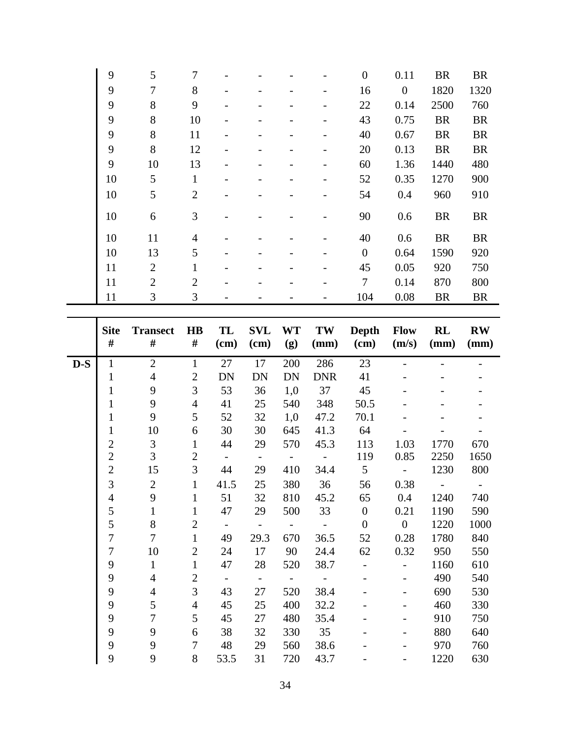|       | 9                     | 5                  | 7                         |                 |                          |                   |                          | $\boldsymbol{0}$               | 0.11                             | <b>BR</b>   | <b>BR</b>              |
|-------|-----------------------|--------------------|---------------------------|-----------------|--------------------------|-------------------|--------------------------|--------------------------------|----------------------------------|-------------|------------------------|
|       | 9                     | $\tau$             | 8                         |                 |                          |                   |                          | 16                             | $\boldsymbol{0}$                 | 1820        | 1320                   |
|       | 9                     | 8                  | 9                         |                 |                          |                   |                          | 22                             | 0.14                             | 2500        | 760                    |
|       | 9                     | $8\,$              | 10                        |                 |                          |                   |                          | 43                             | 0.75                             | <b>BR</b>   | <b>BR</b>              |
|       | 9                     | $8\,$              | 11                        |                 |                          |                   |                          | 40                             | 0.67                             | <b>BR</b>   | <b>BR</b>              |
|       | 9                     | $8\,$              | 12                        |                 |                          |                   |                          | 20                             | 0.13                             | <b>BR</b>   | <b>BR</b>              |
|       | 9                     | 10                 | 13                        |                 |                          |                   |                          | 60                             | 1.36                             | 1440        | 480                    |
|       | 10                    | 5                  | $\mathbf{1}$              |                 |                          |                   |                          | 52                             | 0.35                             | 1270        | 900                    |
|       | 10                    | 5                  | $\mathbf{2}$              |                 |                          |                   |                          | 54                             | 0.4                              | 960         | 910                    |
|       | 10                    | 6                  | $\mathfrak{Z}$            |                 |                          |                   |                          | 90                             | 0.6                              | <b>BR</b>   | <b>BR</b>              |
|       | 10                    | 11                 | $\overline{4}$            |                 |                          |                   |                          | 40                             | 0.6                              | <b>BR</b>   | <b>BR</b>              |
|       | 10                    | 13                 | 5                         |                 |                          |                   |                          | $\boldsymbol{0}$               | 0.64                             | 1590        | 920                    |
|       | 11                    | $\overline{2}$     | $\mathbf{1}$              |                 |                          |                   |                          | 45                             | 0.05                             | 920         | 750                    |
|       | 11                    | $\overline{2}$     | $\sqrt{2}$                |                 |                          |                   |                          | $\overline{7}$                 | 0.14                             | 870         | 800                    |
|       | 11                    | 3                  | $\mathfrak{Z}$            |                 |                          |                   |                          | 104                            | 0.08                             | <b>BR</b>   | <b>BR</b>              |
|       |                       |                    |                           |                 |                          |                   |                          |                                |                                  |             |                        |
|       | <b>Site</b>           | <b>Transect</b>    | $\mathbf{H}\mathbf{B}$    | TL              | <b>SVL</b>               | WT                | TW                       | Depth                          | <b>Flow</b>                      | RL          | $\mathbf{R}\mathbf{W}$ |
|       | #                     | #                  | $\#$                      | (cm)            | (cm)                     | (g)               | (mm)                     | (cm)                           | (m/s)                            | (mm)        | (mm)                   |
| $D-S$ | $\mathbf{1}$          | $\mathbf{2}$       | $\mathbf{1}$              | 27              | 17                       | 200               | 286                      | 23                             |                                  |             |                        |
|       |                       |                    |                           |                 |                          |                   |                          |                                |                                  |             |                        |
|       | $\mathbf{1}$          | $\overline{4}$     |                           |                 | <b>DN</b>                | <b>DN</b>         | <b>DNR</b>               |                                |                                  |             |                        |
|       | $\mathbf{1}$          | 9                  | $\overline{c}$<br>3       | <b>DN</b><br>53 | 36                       | 1,0               | 37                       | 41<br>45                       |                                  |             |                        |
|       | $\mathbf{1}$          | 9                  | $\overline{4}$            | 41              | 25                       | 540               | 348                      | 50.5                           |                                  |             |                        |
|       | $\mathbf{1}$          | 9                  | 5                         | 52              | 32                       | 1,0               | 47.2                     | 70.1                           |                                  |             |                        |
|       | $\mathbf{1}$          | 10                 | 6                         | 30              | 30                       | 645               | 41.3                     | 64                             |                                  |             |                        |
|       | $\boldsymbol{2}$      | 3                  | $\mathbf{1}$              | 44              | 29                       | 570               | 45.3                     | 113                            | 1.03                             | 1770        | 670                    |
|       | $\overline{c}$        | 3                  | $\overline{c}$            | $\blacksquare$  | $\overline{\phantom{a}}$ | $\qquad \qquad -$ | $\overline{\phantom{a}}$ | 119                            | 0.85                             | 2250        | 1650                   |
|       | $\overline{2}$        | 15                 | 3                         | 44              | 29                       | 410               | 34.4                     | 5                              |                                  | 1230        | 800                    |
|       | 3                     | $\overline{2}$     | $\mathbf{1}$              | 41.5            | 25                       | 380               | 36                       | 56                             | 0.38                             |             |                        |
|       | $\overline{4}$        | 9                  | $\mathbf{1}$              | 51              | 32                       | 810               | 45.2                     | 65                             | 0.4                              | 1240        | 740                    |
|       | 5                     | $\mathbf{1}$       | $\mathbf{1}$              | 47              | 29                       | 500               | 33                       | $\boldsymbol{0}$               | 0.21                             | 1190        | 590                    |
|       | 5                     | 8                  | $\overline{c}$            | $\mathbb{L}$    | $\overline{\phantom{a}}$ | $\frac{1}{2}$     | $\sim$                   | $\boldsymbol{0}$               | $\overline{0}$                   | 1220        | 1000                   |
|       | $\overline{7}$        | $\tau$             | $\mathbf{1}$              | 49              | 29.3                     | 670               | 36.5                     | 52                             | 0.28                             | 1780        | 840                    |
|       | $\boldsymbol{7}$<br>9 | 10<br>$\mathbf{1}$ | $\mathbf{2}$<br>$\,1$     | 24<br>47        | 17<br>28                 | 90<br>520         | 24.4<br>38.7             | 62<br>$\overline{\phantom{0}}$ | 0.32<br>$\overline{\phantom{a}}$ | 950<br>1160 | 550<br>610             |
|       | 9                     | $\overline{4}$     | $\overline{2}$            | $\pm$           | $\Box$                   | $\sim$            | $\sim$ $-$               | $\overline{\phantom{0}}$       | $\qquad \qquad \blacksquare$     | 490         | 540                    |
|       | 9                     | $\overline{4}$     | 3                         | 43              | 27                       | 520               | 38.4                     |                                |                                  | 690         | 530                    |
|       | 9                     | 5                  | $\overline{4}$            | 45              | 25                       | 400               | 32.2                     |                                |                                  | 460         | 330                    |
|       | 9                     | $\tau$             | $\mathfrak s$             | 45              | 27                       | 480               | 35.4                     |                                |                                  | 910         | 750                    |
|       | 9                     | 9                  | 6                         | 38              | 32                       | 330               | 35                       |                                |                                  | 880         | 640                    |
|       | 9<br>9                | 9<br>9             | $\boldsymbol{7}$<br>$8\,$ | 48<br>53.5      | 29<br>31                 | 560<br>720        | 38.6<br>43.7             |                                |                                  | 970<br>1220 | 760<br>630             |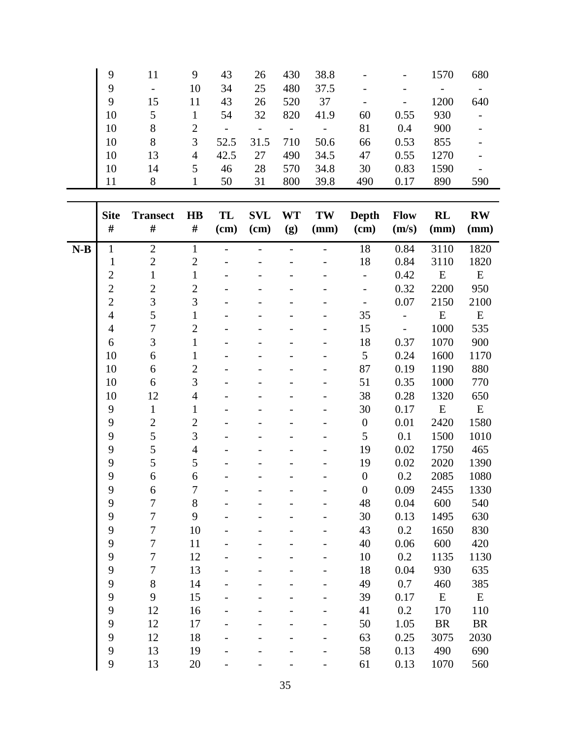| 9  |    | 9  | 43   | 26   | 430 | 38.8 |     | $\qquad \qquad \blacksquare$ | 1570 | 680 |
|----|----|----|------|------|-----|------|-----|------------------------------|------|-----|
| 9  |    | 10 | 34   | 25   | 480 | 37.5 |     |                              |      |     |
| 9  | 15 | 11 | 43   | 26   | 520 | 37   |     | $\overline{\phantom{a}}$     | 1200 | 640 |
| 10 | 5  |    | 54   | 32   | 820 | 41.9 | 60  | 0.55                         | 930  |     |
| 10 | 8  |    |      |      |     |      | 81  | 0.4                          | 900  |     |
| 10 | 8  | 3  | 52.5 | 31.5 | 710 | 50.6 | 66  | 0.53                         | 855  |     |
| 10 | 13 | 4  | 42.5 | 27   | 490 | 34.5 | 47  | 0.55                         | 1270 |     |
| 10 | 14 | 5. | 46   | 28   | 570 | 34.8 | 30  | 0.83                         | 1590 |     |
|    | 8  |    | 50   | 31   | 800 | 39.8 | 490 | 0.17                         | 890  | 590 |

|       | <b>Site</b><br>$\#$ | <b>Transect</b><br># | $\mathbf{H}\mathbf{B}$<br>$\#$ | TL<br>(cm) | <b>SVL</b><br>(cm) | <b>WT</b><br>(g) | TW<br>(mm) | <b>Depth</b><br>(cm)     | Flow<br>(m/s)            | RL<br>(mm) | $\mathbf{R}\mathbf{W}$<br>(mm) |
|-------|---------------------|----------------------|--------------------------------|------------|--------------------|------------------|------------|--------------------------|--------------------------|------------|--------------------------------|
| $N-B$ | $\mathbf{1}$        | $\overline{2}$       | $\mathbf{1}$                   |            |                    | $\overline{a}$   |            | 18                       | 0.84                     | 3110       | 1820                           |
|       | $\mathbf{1}$        | $\overline{2}$       | $\overline{c}$                 |            |                    |                  |            | 18                       | 0.84                     | 3110       | 1820                           |
|       | $\overline{c}$      | $\mathbf{1}$         | $\mathbf{1}$                   |            |                    |                  |            | $\frac{1}{2}$            | 0.42                     | E          | ${\bf E}$                      |
|       | $\overline{c}$      | $\overline{2}$       | $\overline{c}$                 |            |                    |                  |            | $\overline{\phantom{a}}$ | 0.32                     | 2200       | 950                            |
|       | $\overline{2}$      | $\overline{3}$       | $\overline{3}$                 |            |                    |                  |            | $\frac{1}{2}$            | 0.07                     | 2150       | 2100                           |
|       | $\overline{4}$      | 5                    | $\mathbf{1}$                   |            |                    |                  |            | 35                       | $\overline{\phantom{0}}$ | ${\bf E}$  | ${\bf E}$                      |
|       | $\overline{4}$      | $\overline{7}$       | $\overline{c}$                 |            |                    |                  |            | 15                       | $\overline{a}$           | 1000       | 535                            |
|       | 6                   | $\overline{3}$       | $\mathbf{1}$                   |            |                    |                  |            | 18                       | 0.37                     | 1070       | 900                            |
|       | 10                  | 6                    | $\mathbf{1}$                   |            |                    |                  |            | 5                        | 0.24                     | 1600       | 1170                           |
|       | 10                  | 6                    | $\overline{c}$                 |            |                    |                  |            | 87                       | 0.19                     | 1190       | 880                            |
|       | 10                  | 6                    | $\overline{3}$                 |            |                    |                  |            | 51                       | 0.35                     | 1000       | 770                            |
|       | 10                  | 12                   | $\overline{4}$                 |            |                    |                  |            | 38                       | 0.28                     | 1320       | 650                            |
|       | 9                   | $\mathbf{1}$         | $\mathbf{1}$                   |            |                    |                  |            | 30                       | 0.17                     | ${\bf E}$  | ${\bf E}$                      |
|       | 9                   | $\overline{2}$       | $\overline{c}$                 |            |                    |                  |            | $\boldsymbol{0}$         | 0.01                     | 2420       | 1580                           |
|       | 9                   | 5                    | $\overline{3}$                 |            |                    |                  |            | 5                        | 0.1                      | 1500       | 1010                           |
|       | 9                   | 5                    | $\overline{4}$                 |            |                    |                  |            | 19                       | 0.02                     | 1750       | 465                            |
|       | 9                   | 5                    | 5                              |            |                    |                  |            | 19                       | 0.02                     | 2020       | 1390                           |
|       | 9                   | 6                    | 6                              |            |                    |                  |            | $\overline{0}$           | 0.2                      | 2085       | 1080                           |
|       | 9                   | 6                    | $\overline{7}$                 |            |                    |                  |            | $\overline{0}$           | 0.09                     | 2455       | 1330                           |
|       | 9                   | $\overline{7}$       | 8                              |            |                    |                  |            | 48                       | 0.04                     | 600        | 540                            |
|       | 9                   | $\overline{7}$       | 9                              |            |                    |                  |            | 30                       | 0.13                     | 1495       | 630                            |
|       | 9                   | $\overline{7}$       | 10                             |            |                    |                  |            | 43                       | 0.2                      | 1650       | 830                            |
|       | 9                   | $\overline{7}$       | 11                             |            |                    |                  |            | 40                       | 0.06                     | 600        | 420                            |
|       | 9                   | $\overline{7}$       | 12                             |            |                    |                  |            | 10                       | 0.2                      | 1135       | 1130                           |
|       | 9                   | $\overline{7}$       | 13                             |            |                    |                  |            | 18                       | 0.04                     | 930        | 635                            |
|       | 9                   | 8                    | 14                             |            |                    |                  |            | 49                       | 0.7                      | 460        | 385                            |
|       | 9                   | 9                    | 15                             |            |                    |                  |            | 39                       | 0.17                     | ${\bf E}$  | ${\bf E}$                      |
|       | 9                   | 12                   | 16                             |            |                    |                  |            | 41                       | 0.2                      | 170        | 110                            |
|       | 9                   | 12                   | 17                             |            |                    |                  |            | 50                       | 1.05                     | <b>BR</b>  | $\rm{BR}$                      |
|       | 9                   | 12                   | 18                             |            |                    |                  |            | 63                       | 0.25                     | 3075       | 2030                           |
|       | 9                   | 13                   | 19                             |            |                    |                  |            | 58                       | 0.13                     | 490        | 690                            |
|       | 9                   | 13                   | 20                             |            |                    |                  |            | 61                       | 0.13                     | 1070       | 560                            |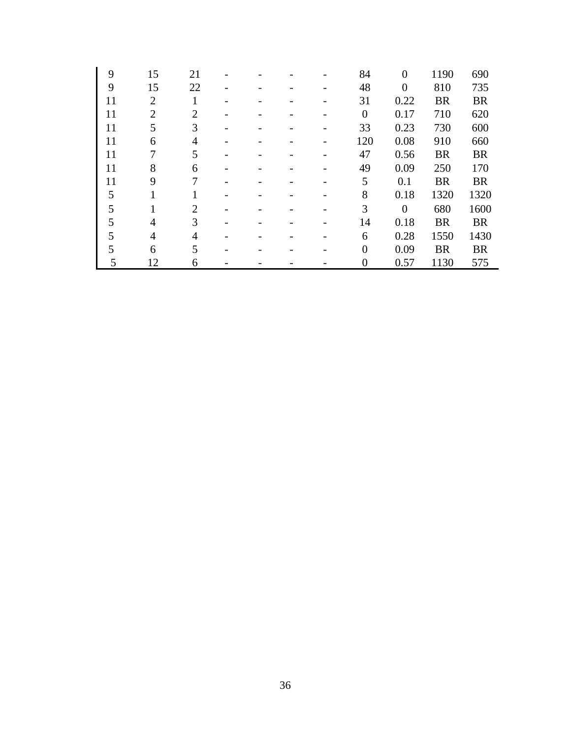| 9  | 15             | 21             |  |  | 84             | $\theta$       | 1190      | 690       |
|----|----------------|----------------|--|--|----------------|----------------|-----------|-----------|
| 9  | 15             | 22             |  |  | 48             | $\overline{0}$ | 810       | 735       |
| 11 | $\overline{2}$ |                |  |  | 31             | 0.22           | <b>BR</b> | <b>BR</b> |
| 11 | $\overline{2}$ | 2              |  |  | $\overline{0}$ | 0.17           | 710       | 620       |
| 11 | 5              | 3              |  |  | 33             | 0.23           | 730       | 600       |
| 11 | 6              | $\overline{4}$ |  |  | 120            | 0.08           | 910       | 660       |
| 11 | 7              | 5              |  |  | 47             | 0.56           | <b>BR</b> | <b>BR</b> |
| 11 | 8              | 6              |  |  | 49             | 0.09           | 250       | 170       |
| 11 | 9              | 7              |  |  | 5              | 0.1            | <b>BR</b> | <b>BR</b> |
| 5  | $\mathbf{1}$   |                |  |  | 8              | 0.18           | 1320      | 1320      |
| 5  |                | $\mathfrak{D}$ |  |  | 3              | $\mathbf{0}$   | 680       | 1600      |
| 5  | 4              | 3              |  |  | 14             | 0.18           | <b>BR</b> | <b>BR</b> |
| 5  | 4              | 4              |  |  | 6              | 0.28           | 1550      | 1430      |
| 5  | 6              | 5              |  |  | $\overline{0}$ | 0.09           | <b>BR</b> | <b>BR</b> |
| 5  | 12             | 6              |  |  | 0              | 0.57           | 1130      | 575       |